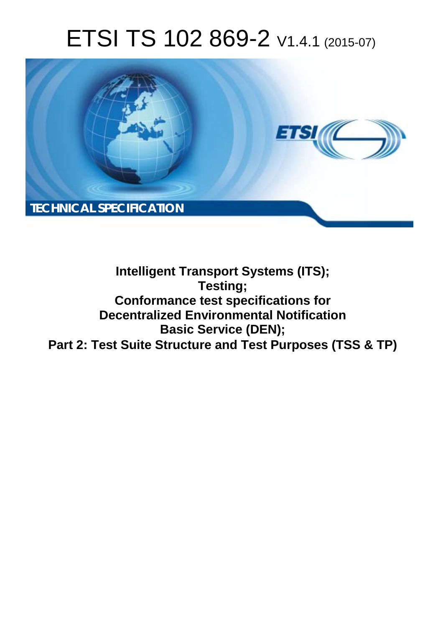# ETSI TS 102 869-2 V1.4.1 (2015-07)



# **Intelligent Transport Systems (ITS); Testing; Conformance test specifications for Decentralized Environmental Notification Basic Service (DEN); Part 2: Test Suite Structure and Test Purposes (TSS & TP)**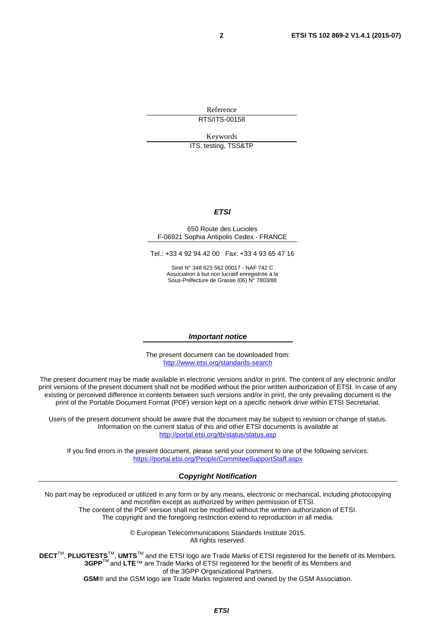Reference RTS/ITS-00158

Keywords

ITS, testing, TSS&TP

#### *ETSI*

#### 650 Route des Lucioles F-06921 Sophia Antipolis Cedex - FRANCE

Tel.: +33 4 92 94 42 00 Fax: +33 4 93 65 47 16

Siret N° 348 623 562 00017 - NAF 742 C Association à but non lucratif enregistrée à la Sous-Préfecture de Grasse (06) N° 7803/88

#### *Important notice*

The present document can be downloaded from: <http://www.etsi.org/standards-search>

The present document may be made available in electronic versions and/or in print. The content of any electronic and/or print versions of the present document shall not be modified without the prior written authorization of ETSI. In case of any existing or perceived difference in contents between such versions and/or in print, the only prevailing document is the print of the Portable Document Format (PDF) version kept on a specific network drive within ETSI Secretariat.

Users of the present document should be aware that the document may be subject to revision or change of status. Information on the current status of this and other ETSI documents is available at <http://portal.etsi.org/tb/status/status.asp>

If you find errors in the present document, please send your comment to one of the following services: <https://portal.etsi.org/People/CommiteeSupportStaff.aspx>

#### *Copyright Notification*

No part may be reproduced or utilized in any form or by any means, electronic or mechanical, including photocopying and microfilm except as authorized by written permission of ETSI.

The content of the PDF version shall not be modified without the written authorization of ETSI. The copyright and the foregoing restriction extend to reproduction in all media.

> © European Telecommunications Standards Institute 2015. All rights reserved.

**DECT**TM, **PLUGTESTS**TM, **UMTS**TM and the ETSI logo are Trade Marks of ETSI registered for the benefit of its Members. **3GPP**TM and **LTE**™ are Trade Marks of ETSI registered for the benefit of its Members and of the 3GPP Organizational Partners.

**GSM**® and the GSM logo are Trade Marks registered and owned by the GSM Association.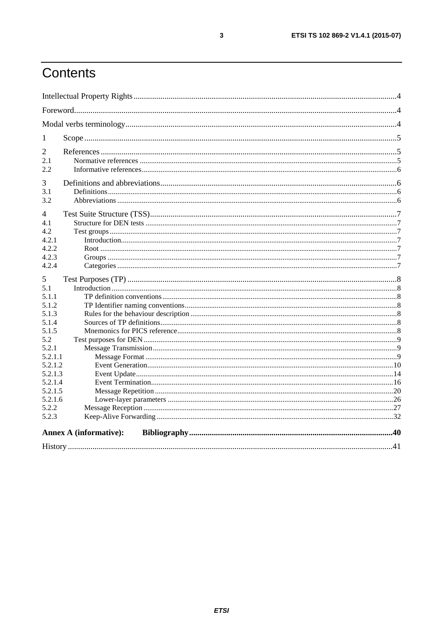# Contents

| 1       |                               |  |
|---------|-------------------------------|--|
| 2       |                               |  |
| 2.1     |                               |  |
| 2.2     |                               |  |
| 3       |                               |  |
| 3.1     |                               |  |
| 3.2     |                               |  |
| 4       |                               |  |
| 4.1     |                               |  |
| 4.2     |                               |  |
| 4.2.1   |                               |  |
| 4.2.2   |                               |  |
| 4.2.3   |                               |  |
| 4.2.4   |                               |  |
| 5       |                               |  |
| 5.1     |                               |  |
| 5.1.1   |                               |  |
| 5.1.2   |                               |  |
| 5.1.3   |                               |  |
| 5.1.4   |                               |  |
| 5.1.5   |                               |  |
| 5.2     |                               |  |
| 5.2.1   |                               |  |
| 5.2.1.1 |                               |  |
| 5.2.1.2 |                               |  |
| 5.2.1.3 |                               |  |
| 5.2.1.4 |                               |  |
| 5.2.1.5 |                               |  |
| 5.2.1.6 |                               |  |
| 5.2.2   |                               |  |
| 5.2.3   |                               |  |
|         | <b>Annex A (informative):</b> |  |
|         |                               |  |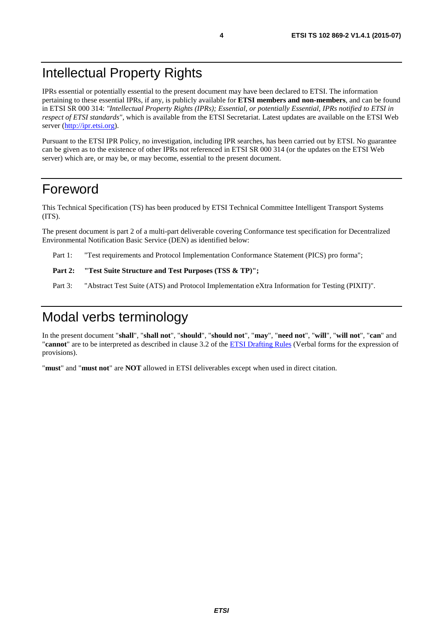# <span id="page-3-0"></span>Intellectual Property Rights

IPRs essential or potentially essential to the present document may have been declared to ETSI. The information pertaining to these essential IPRs, if any, is publicly available for **ETSI members and non-members**, and can be found in ETSI SR 000 314: *"Intellectual Property Rights (IPRs); Essential, or potentially Essential, IPRs notified to ETSI in respect of ETSI standards"*, which is available from the ETSI Secretariat. Latest updates are available on the ETSI Web server ([http://ipr.etsi.org\)](http://webapp.etsi.org/IPR/home.asp).

Pursuant to the ETSI IPR Policy, no investigation, including IPR searches, has been carried out by ETSI. No guarantee can be given as to the existence of other IPRs not referenced in ETSI SR 000 314 (or the updates on the ETSI Web server) which are, or may be, or may become, essential to the present document.

## Foreword

This Technical Specification (TS) has been produced by ETSI Technical Committee Intelligent Transport Systems (ITS).

The present document is part 2 of a multi-part deliverable covering Conformance test specification for Decentralized Environmental Notification Basic Service (DEN) as identified below:

Part 1: "Test requirements and Protocol Implementation Conformance Statement (PICS) pro forma";

#### Part 2: "Test Suite Structure and Test Purposes (TSS & TP)";

Part 3: "Abstract Test Suite (ATS) and Protocol Implementation eXtra Information for Testing (PIXIT)".

# Modal verbs terminology

In the present document "**shall**", "**shall not**", "**should**", "**should not**", "**may**", "**need not**", "**will**", "**will not**", "**can**" and "**cannot**" are to be interpreted as described in clause 3.2 of the [ETSI Drafting Rules](http://portal.etsi.org/Help/editHelp!/Howtostart/ETSIDraftingRules.aspx) (Verbal forms for the expression of provisions).

"**must**" and "**must not**" are **NOT** allowed in ETSI deliverables except when used in direct citation.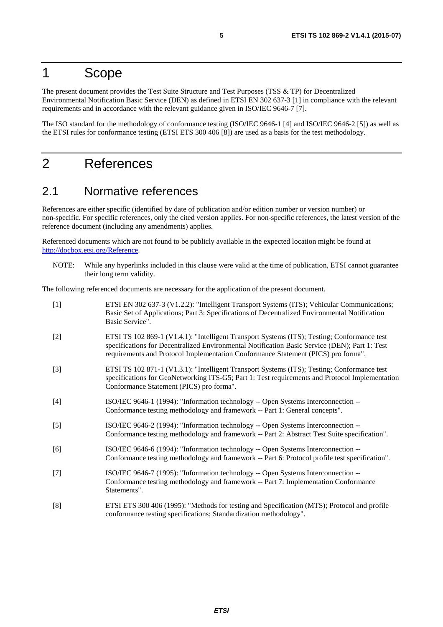# <span id="page-4-0"></span>1 Scope

The present document provides the Test Suite Structure and Test Purposes (TSS & TP) for Decentralized Environmental Notification Basic Service (DEN) as defined in ETSI EN 302 637-3 [1] in compliance with the relevant requirements and in accordance with the relevant guidance given in ISO/IEC 9646-7 [7].

The ISO standard for the methodology of conformance testing (ISO/IEC 9646-1 [4] and ISO/IEC 9646-2 [5]) as well as the ETSI rules for conformance testing (ETSI ETS 300 406 [8]) are used as a basis for the test methodology.

# 2 References

### 2.1 Normative references

References are either specific (identified by date of publication and/or edition number or version number) or non-specific. For specific references, only the cited version applies. For non-specific references, the latest version of the reference document (including any amendments) applies.

Referenced documents which are not found to be publicly available in the expected location might be found at [http://docbox.etsi.org/Reference.](http://docbox.etsi.org/Reference)

NOTE: While any hyperlinks included in this clause were valid at the time of publication, ETSI cannot guarantee their long term validity.

The following referenced documents are necessary for the application of the present document.

| $[1]$ | ETSI EN 302 637-3 (V1.2.2): "Intelligent Transport Systems (ITS); Vehicular Communications;<br>Basic Set of Applications; Part 3: Specifications of Decentralized Environmental Notification<br>Basic Service".                                                                   |
|-------|-----------------------------------------------------------------------------------------------------------------------------------------------------------------------------------------------------------------------------------------------------------------------------------|
| $[2]$ | ETSI TS 102 869-1 (V1.4.1): "Intelligent Transport Systems (ITS); Testing; Conformance test<br>specifications for Decentralized Environmental Notification Basic Service (DEN); Part 1: Test<br>requirements and Protocol Implementation Conformance Statement (PICS) pro forma". |
| $[3]$ | ETSI TS 102 871-1 (V1.3.1): "Intelligent Transport Systems (ITS); Testing; Conformance test<br>specifications for GeoNetworking ITS-G5; Part 1: Test requirements and Protocol Implementation<br>Conformance Statement (PICS) pro forma".                                         |
| $[4]$ | ISO/IEC 9646-1 (1994): "Information technology -- Open Systems Interconnection --<br>Conformance testing methodology and framework -- Part 1: General concepts".                                                                                                                  |
| $[5]$ | ISO/IEC 9646-2 (1994): "Information technology -- Open Systems Interconnection --<br>Conformance testing methodology and framework -- Part 2: Abstract Test Suite specification".                                                                                                 |
| [6]   | ISO/IEC 9646-6 (1994): "Information technology -- Open Systems Interconnection --<br>Conformance testing methodology and framework -- Part 6: Protocol profile test specification".                                                                                               |
| $[7]$ | ISO/IEC 9646-7 (1995): "Information technology -- Open Systems Interconnection --<br>Conformance testing methodology and framework -- Part 7: Implementation Conformance<br>Statements".                                                                                          |
| [8]   | ETSI ETS 300 406 (1995): "Methods for testing and Specification (MTS); Protocol and profile<br>conformance testing specifications; Standardization methodology".                                                                                                                  |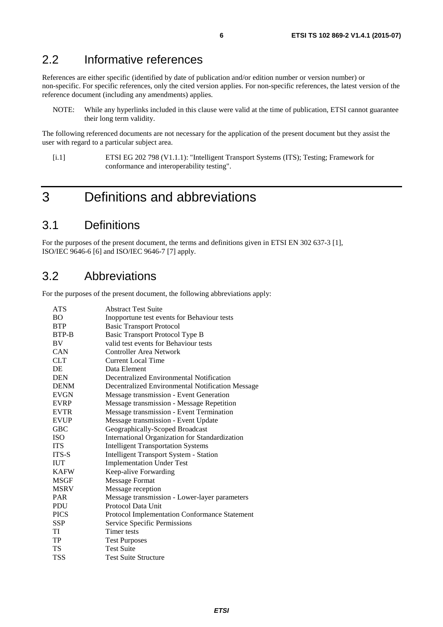### <span id="page-5-0"></span>2.2 Informative references

References are either specific (identified by date of publication and/or edition number or version number) or non-specific. For specific references, only the cited version applies. For non-specific references, the latest version of the reference document (including any amendments) applies.

NOTE: While any hyperlinks included in this clause were valid at the time of publication, ETSI cannot guarantee their long term validity.

The following referenced documents are not necessary for the application of the present document but they assist the user with regard to a particular subject area.

[i.1] ETSI EG 202 798 (V1.1.1): "Intelligent Transport Systems (ITS); Testing; Framework for conformance and interoperability testing".

# 3 Definitions and abbreviations

### 3.1 Definitions

For the purposes of the present document, the terms and definitions given in ETSI EN 302 637-3 [[1\]](#page-4-0), ISO/IEC 9646-6 [\[6\]](#page-4-0) and ISO/IEC 9646-7 [[7\]](#page-4-0) apply.

# 3.2 Abbreviations

For the purposes of the present document, the following abbreviations apply:

| <b>ATS</b>  | <b>Abstract Test Suite</b>                       |
|-------------|--------------------------------------------------|
| <b>BO</b>   | Inopportune test events for Behaviour tests      |
| <b>BTP</b>  | <b>Basic Transport Protocol</b>                  |
| BTP-B       | Basic Transport Protocol Type B                  |
| <b>BV</b>   | valid test events for Behaviour tests            |
| <b>CAN</b>  | Controller Area Network                          |
| <b>CLT</b>  | <b>Current Local Time</b>                        |
| DE          | Data Element                                     |
| <b>DEN</b>  | Decentralized Environmental Notification         |
| <b>DENM</b> | Decentralized Environmental Notification Message |
| <b>EVGN</b> | Message transmission - Event Generation          |
| <b>EVRP</b> | Message transmission - Message Repetition        |
| <b>EVTR</b> | Message transmission - Event Termination         |
| <b>EVUP</b> | Message transmission - Event Update              |
| <b>GBC</b>  | Geographically-Scoped Broadcast                  |
| <b>ISO</b>  | International Organization for Standardization   |
| <b>ITS</b>  | <b>Intelligent Transportation Systems</b>        |
| ITS-S       | Intelligent Transport System - Station           |
| <b>IUT</b>  | <b>Implementation Under Test</b>                 |
| <b>KAFW</b> | Keep-alive Forwarding                            |
| <b>MSGF</b> | Message Format                                   |
| <b>MSRV</b> | Message reception                                |
| <b>PAR</b>  | Message transmission - Lower-layer parameters    |
| <b>PDU</b>  | Protocol Data Unit                               |
| <b>PICS</b> | Protocol Implementation Conformance Statement    |
| SSP         | Service Specific Permissions                     |
| TI          | Timer tests                                      |
| TP          | <b>Test Purposes</b>                             |
| <b>TS</b>   | <b>Test Suite</b>                                |
| TSS         | <b>Test Suite Structure</b>                      |
|             |                                                  |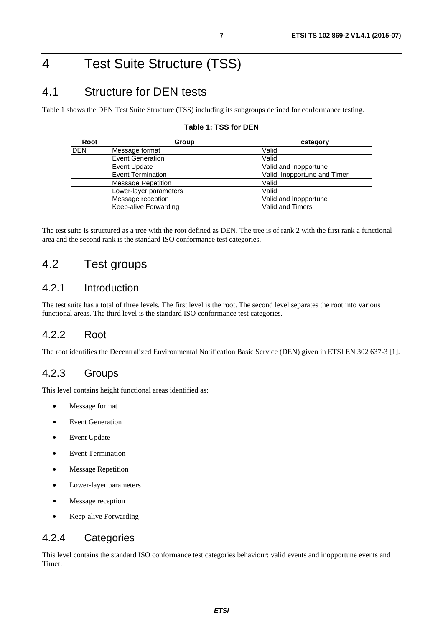# <span id="page-6-0"></span>4 Test Suite Structure (TSS)

# 4.1 Structure for DEN tests

Table 1 shows the DEN Test Suite Structure (TSS) including its subgroups defined for conformance testing.

| Root       | Group                    | category                     |
|------------|--------------------------|------------------------------|
| <b>DEN</b> | Message format           | Valid                        |
|            | <b>Event Generation</b>  | Valid                        |
|            | Event Update             | Valid and Inopportune        |
|            | <b>Event Termination</b> | Valid, Inopportune and Timer |
|            | Message Repetition       | Valid                        |
|            | Lower-layer parameters   | Valid                        |
|            | Message reception        | Valid and Inopportune        |
|            | Keep-alive Forwarding    | Valid and Timers             |

#### **Table 1: TSS for DEN**

The test suite is structured as a tree with the root defined as DEN. The tree is of rank 2 with the first rank a functional area and the second rank is the standard ISO conformance test categories.

### 4.2 Test groups

### 4.2.1 Introduction

The test suite has a total of three levels. The first level is the root. The second level separates the root into various functional areas. The third level is the standard ISO conformance test categories.

### 4.2.2 Root

The root identifies the Decentralized Environmental Notification Basic Service (DEN) given in ETSI EN 302 637-3 [\[1\]](#page-4-0).

### 4.2.3 Groups

This level contains height functional areas identified as:

- Message format
- Event Generation
- Event Update
- Event Termination
- Message Repetition
- Lower-layer parameters
- Message reception
- Keep-alive Forwarding

### 4.2.4 Categories

This level contains the standard ISO conformance test categories behaviour: valid events and inopportune events and Timer.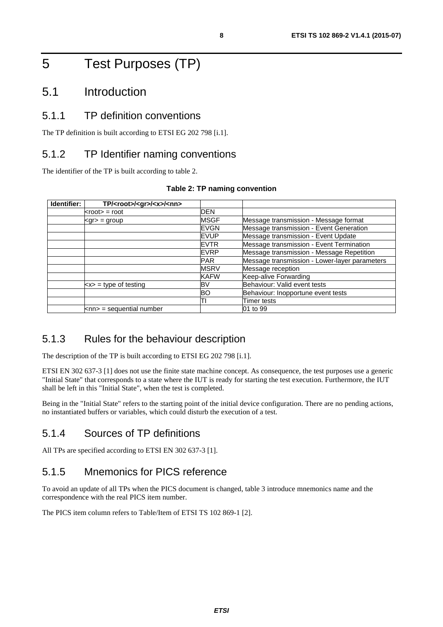# <span id="page-7-0"></span>5 Test Purposes (TP)

### 5.1 Introduction

### 5.1.1 TP definition conventions

The TP definition is built according to ETSI EG 202 798 [\[i.1](#page-5-0)].

### 5.1.2 TP Identifier naming conventions

The identifier of the TP is built according to table 2.

| Identifier: | TP/ <root>/<gr>/<x>/<nn></nn></x></gr></root> |             |                                               |
|-------------|-----------------------------------------------|-------------|-----------------------------------------------|
|             | $<$ root $>$ = root                           | <b>DEN</b>  |                                               |
|             | $<$ gr $>$ = group                            | <b>MSGF</b> | Message transmission - Message format         |
|             |                                               | EVGN        | Message transmission - Event Generation       |
|             |                                               | <b>EVUP</b> | Message transmission - Event Update           |
|             |                                               | <b>EVTR</b> | Message transmission - Event Termination      |
|             |                                               | <b>EVRP</b> | Message transmission - Message Repetition     |
|             |                                               | <b>PAR</b>  | Message transmission - Lower-layer parameters |
|             |                                               | <b>MSRV</b> | Message reception                             |
|             |                                               | <b>KAFW</b> | Keep-alive Forwarding                         |
|             | $\langle x \rangle$ = type of testing         | BV          | Behaviour: Valid event tests                  |
|             |                                               | BO          | Behaviour: Inopportune event tests            |
|             |                                               |             | <b>Timer tests</b>                            |
|             | $\mathsf{knn}$ = sequential number            |             | 01 to 99                                      |

#### **Table 2: TP naming convention**

### 5.1.3 Rules for the behaviour description

The description of the TP is built according to ETSI EG 202 798 [\[i.1](#page-5-0)].

ETSI EN 302 637-3 [\[1\]](#page-4-0) does not use the finite state machine concept. As consequence, the test purposes use a generic "Initial State" that corresponds to a state where the IUT is ready for starting the test execution. Furthermore, the IUT shall be left in this "Initial State", when the test is completed.

Being in the "Initial State" refers to the starting point of the initial device configuration. There are no pending actions, no instantiated buffers or variables, which could disturb the execution of a test.

### 5.1.4 Sources of TP definitions

All TPs are specified according to ETSI EN 302 637-3 [[1\]](#page-4-0).

### 5.1.5 Mnemonics for PICS reference

To avoid an update of all TPs when the PICS document is changed, table 3 introduce mnemonics name and the correspondence with the real PICS item number.

The PICS item column refers to Table/Item of ETSI TS 102 869-1 [\[2](#page-4-0)].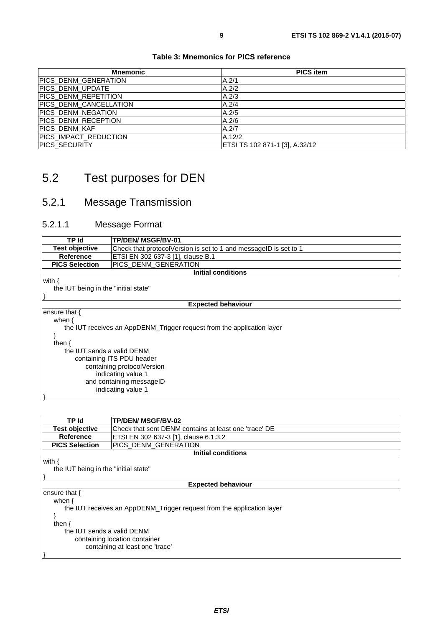#### **Table 3: Mnemonics for PICS reference**

<span id="page-8-0"></span>

| <b>Mnemonic</b>               | <b>PICS item</b>               |
|-------------------------------|--------------------------------|
| PICS DENM GENERATION          | A.2/1                          |
| PICS_DENM_UPDATE              | A.2/2                          |
| PICS DENM REPETITION          | A.2/3                          |
| <b>PICS DENM CANCELLATION</b> | A.2/4                          |
| <b>PICS DENM NEGATION</b>     | A.2/5                          |
| PICS DENM RECEPTION           | A.2/6                          |
| <b>PICS DENM KAF</b>          | A.2/7                          |
| PICS_IMPACT_REDUCTION         | A.12/2                         |
| PICS_SECURITY                 | ETSI TS 102 871-1 [3], A.32/12 |

# 5.2 Test purposes for DEN

# 5.2.1 Message Transmission

### 5.2.1.1 Message Format

| TP Id                                |                                                                        |  |  |
|--------------------------------------|------------------------------------------------------------------------|--|--|
|                                      | <b>TP/DEN/ MSGF/BV-01</b>                                              |  |  |
| <b>Test objective</b>                | Check that protocolVersion is set to 1 and messageID is set to 1       |  |  |
| Reference                            | ETSI EN 302 637-3 [1], clause B.1                                      |  |  |
| <b>PICS Selection</b>                | PICS_DENM_GENERATION                                                   |  |  |
|                                      | <b>Initial conditions</b>                                              |  |  |
| with $\{$                            |                                                                        |  |  |
| the IUT being in the "initial state" |                                                                        |  |  |
|                                      |                                                                        |  |  |
|                                      | <b>Expected behaviour</b>                                              |  |  |
| ensure that {                        |                                                                        |  |  |
| when $\{$                            |                                                                        |  |  |
|                                      | the IUT receives an AppDENM_Trigger request from the application layer |  |  |
|                                      |                                                                        |  |  |
| then $\{$                            |                                                                        |  |  |
|                                      | the IUT sends a valid DENM                                             |  |  |
|                                      | containing ITS PDU header                                              |  |  |
| containing protocolVersion           |                                                                        |  |  |
| indicating value 1                   |                                                                        |  |  |
| and containing messageID             |                                                                        |  |  |
|                                      | indicating value 1                                                     |  |  |
|                                      |                                                                        |  |  |
|                                      |                                                                        |  |  |

| TP Id                                | <b>TP/DEN/ MSGF/BV-02</b>                                              |  |  |
|--------------------------------------|------------------------------------------------------------------------|--|--|
| <b>Test objective</b>                | Check that sent DENM contains at least one 'trace' DE                  |  |  |
| <b>Reference</b>                     | ETSI EN 302 637-3 [1], clause 6.1.3.2                                  |  |  |
| <b>PICS Selection</b>                | PICS_DENM_GENERATION                                                   |  |  |
|                                      | <b>Initial conditions</b>                                              |  |  |
| with {                               |                                                                        |  |  |
| the IUT being in the "initial state" |                                                                        |  |  |
|                                      |                                                                        |  |  |
|                                      | <b>Expected behaviour</b>                                              |  |  |
| ensure that {                        |                                                                        |  |  |
| when $\{$                            |                                                                        |  |  |
|                                      | the IUT receives an AppDENM_Trigger request from the application layer |  |  |
|                                      |                                                                        |  |  |
| then $\{$                            |                                                                        |  |  |
| the IUT sends a valid DENM           |                                                                        |  |  |
| containing location container        |                                                                        |  |  |
|                                      | containing at least one 'trace'                                        |  |  |
|                                      |                                                                        |  |  |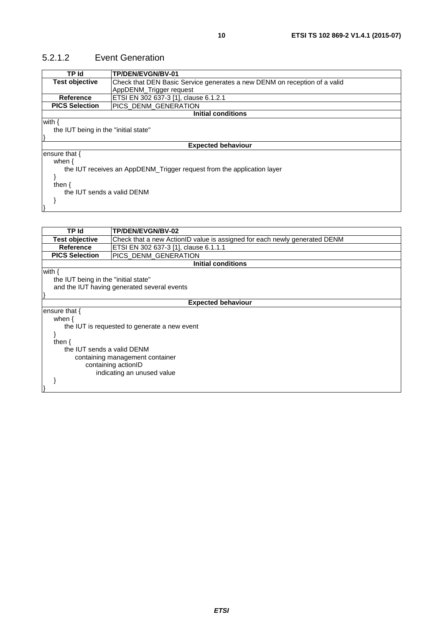### <span id="page-9-0"></span>5.2.1.2 Event Generation

| TP/DEN/EVGN/BV-01                                                         |  |  |
|---------------------------------------------------------------------------|--|--|
| Check that DEN Basic Service generates a new DENM on reception of a valid |  |  |
| AppDENM_Trigger request                                                   |  |  |
| ETSI EN 302 637-3 [1], clause 6.1.2.1                                     |  |  |
| PICS DENM GENERATION                                                      |  |  |
| <b>Initial conditions</b>                                                 |  |  |
|                                                                           |  |  |
| the IUT being in the "initial state"                                      |  |  |
|                                                                           |  |  |
| <b>Expected behaviour</b>                                                 |  |  |
|                                                                           |  |  |
|                                                                           |  |  |
| the IUT receives an AppDENM_Trigger request from the application layer    |  |  |
|                                                                           |  |  |
| then $\{$                                                                 |  |  |
| the IUT sends a valid DENM                                                |  |  |
|                                                                           |  |  |
|                                                                           |  |  |
|                                                                           |  |  |
| <b>TO/DEN/EVALUOV 00</b>                                                  |  |  |
|                                                                           |  |  |

| TP Id                                | TP/DEN/EVGN/BV-02                                                         |  |  |
|--------------------------------------|---------------------------------------------------------------------------|--|--|
| <b>Test objective</b>                | Check that a new ActionID value is assigned for each newly generated DENM |  |  |
| <b>Reference</b>                     | ETSI EN 302 637-3 [1], clause 6.1.1.1                                     |  |  |
| <b>PICS Selection</b>                | PICS DENM GENERATION                                                      |  |  |
|                                      | <b>Initial conditions</b>                                                 |  |  |
| with {                               |                                                                           |  |  |
| the IUT being in the "initial state" |                                                                           |  |  |
|                                      | and the IUT having generated several events                               |  |  |
|                                      |                                                                           |  |  |
| <b>Expected behaviour</b>            |                                                                           |  |  |
| ensure that $\{$                     |                                                                           |  |  |
| when $\{$                            |                                                                           |  |  |
|                                      | the IUT is requested to generate a new event                              |  |  |
|                                      |                                                                           |  |  |
| then $\{$                            |                                                                           |  |  |
| the IUT sends a valid DENM           |                                                                           |  |  |
| containing management container      |                                                                           |  |  |
| containing actionID                  |                                                                           |  |  |
| indicating an unused value           |                                                                           |  |  |
|                                      |                                                                           |  |  |
|                                      |                                                                           |  |  |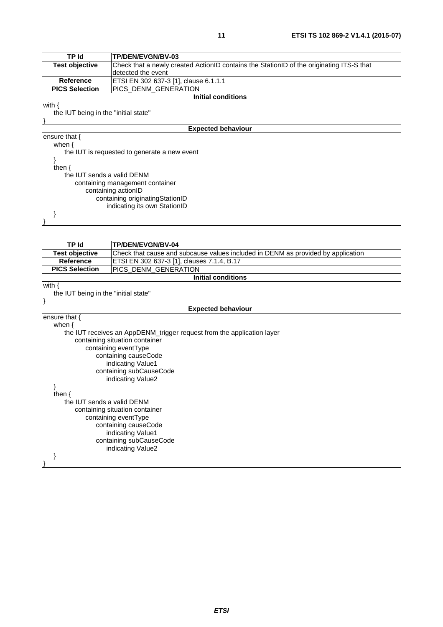| TP Id                                | <b>TP/DEN/EVGN/BV-03</b>                                                                 |  |
|--------------------------------------|------------------------------------------------------------------------------------------|--|
| <b>Test objective</b>                | Check that a newly created ActionID contains the StationID of the originating ITS-S that |  |
|                                      | detected the event                                                                       |  |
| <b>Reference</b>                     | ETSI EN 302 637-3 [1], clause 6.1.1.1                                                    |  |
| <b>PICS Selection</b>                | PICS_DENM_GENERATION                                                                     |  |
|                                      | <b>Initial conditions</b>                                                                |  |
| with $\{$                            |                                                                                          |  |
| the IUT being in the "initial state" |                                                                                          |  |
|                                      |                                                                                          |  |
|                                      | <b>Expected behaviour</b>                                                                |  |
| ensure that $\{$                     |                                                                                          |  |
| when $\{$                            |                                                                                          |  |
|                                      | the IUT is requested to generate a new event                                             |  |
|                                      |                                                                                          |  |
| then $\{$                            |                                                                                          |  |
| the IUT sends a valid DENM           |                                                                                          |  |
| containing management container      |                                                                                          |  |
| containing actionID                  |                                                                                          |  |
| containing originatingStationID      |                                                                                          |  |
| indicating its own StationID         |                                                                                          |  |
|                                      |                                                                                          |  |
|                                      |                                                                                          |  |

| TP Id                                | TP/DEN/EVGN/BV-04                                                                |  |  |
|--------------------------------------|----------------------------------------------------------------------------------|--|--|
| <b>Test objective</b>                | Check that cause and subcause values included in DENM as provided by application |  |  |
| <b>Reference</b>                     | ETSI EN 302 637-3 [1], clauses 7.1.4, B.17                                       |  |  |
| <b>PICS Selection</b>                | PICS_DENM_GENERATION                                                             |  |  |
|                                      | <b>Initial conditions</b>                                                        |  |  |
| with $\{$                            |                                                                                  |  |  |
| the IUT being in the "initial state" |                                                                                  |  |  |
|                                      |                                                                                  |  |  |
|                                      | <b>Expected behaviour</b>                                                        |  |  |
| ensure that {                        |                                                                                  |  |  |
| when $\{$                            |                                                                                  |  |  |
|                                      | the IUT receives an AppDENM_trigger request from the application layer           |  |  |
|                                      | containing situation container                                                   |  |  |
|                                      | containing eventType                                                             |  |  |
|                                      | containing causeCode                                                             |  |  |
|                                      | indicating Value1                                                                |  |  |
|                                      | containing subCauseCode                                                          |  |  |
|                                      | indicating Value2                                                                |  |  |
|                                      |                                                                                  |  |  |
| then $\{$                            |                                                                                  |  |  |
| the IUT sends a valid DENM           |                                                                                  |  |  |
|                                      | containing situation container                                                   |  |  |
|                                      | containing eventType                                                             |  |  |
| containing causeCode                 |                                                                                  |  |  |
| indicating Value1                    |                                                                                  |  |  |
| containing subCauseCode              |                                                                                  |  |  |
| indicating Value2                    |                                                                                  |  |  |
|                                      |                                                                                  |  |  |
|                                      |                                                                                  |  |  |
|                                      |                                                                                  |  |  |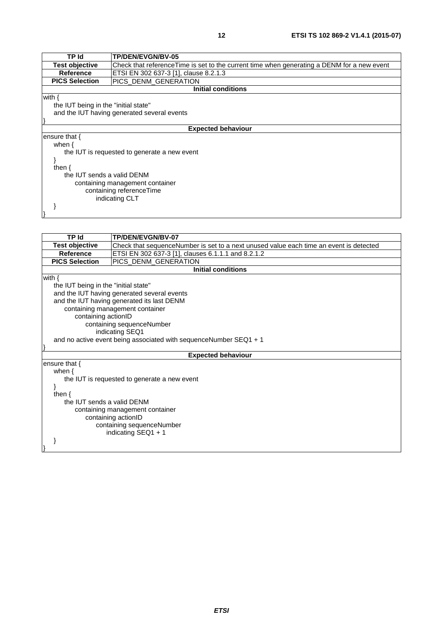| TP Id                                        | <b>TP/DEN/EVGN/BV-05</b>                                                                    |  |  |
|----------------------------------------------|---------------------------------------------------------------------------------------------|--|--|
| <b>Test objective</b>                        | Check that reference Time is set to the current time when generating a DENM for a new event |  |  |
| <b>Reference</b>                             | ETSI EN 302 637-3 [1], clause 8.2.1.3                                                       |  |  |
| <b>PICS Selection</b>                        | PICS DENM GENERATION                                                                        |  |  |
|                                              | <b>Initial conditions</b>                                                                   |  |  |
| with {                                       |                                                                                             |  |  |
|                                              | the IUT being in the "initial state"                                                        |  |  |
| and the IUT having generated several events  |                                                                                             |  |  |
|                                              |                                                                                             |  |  |
|                                              | <b>Expected behaviour</b>                                                                   |  |  |
| ensure that $\{$                             |                                                                                             |  |  |
| when $\{$                                    |                                                                                             |  |  |
| the IUT is requested to generate a new event |                                                                                             |  |  |
|                                              |                                                                                             |  |  |
| then $\{$                                    |                                                                                             |  |  |
| the IUT sends a valid DENM                   |                                                                                             |  |  |
| containing management container              |                                                                                             |  |  |
| containing referenceTime                     |                                                                                             |  |  |
|                                              | indicating CLT                                                                              |  |  |
|                                              |                                                                                             |  |  |
|                                              |                                                                                             |  |  |

| <b>TP Id</b>                    | TP/DEN/EVGN/BV-07                                                                      |  |  |
|---------------------------------|----------------------------------------------------------------------------------------|--|--|
| <b>Test objective</b>           | Check that sequenceNumber is set to a next unused value each time an event is detected |  |  |
| <b>Reference</b>                | ETSI EN 302 637-3 [1], clauses 6.1.1.1 and 8.2.1.2                                     |  |  |
| <b>PICS Selection</b>           | PICS_DENM_GENERATION                                                                   |  |  |
|                                 | <b>Initial conditions</b>                                                              |  |  |
| with $\{$                       |                                                                                        |  |  |
|                                 | the IUT being in the "initial state"                                                   |  |  |
|                                 | and the IUT having generated several events                                            |  |  |
|                                 | and the IUT having generated its last DENM                                             |  |  |
| containing management container |                                                                                        |  |  |
| containing actionID             |                                                                                        |  |  |
| containing sequenceNumber       |                                                                                        |  |  |
| indicating SEQ1                 |                                                                                        |  |  |
|                                 | and no active event being associated with sequenceNumber SEQ1 + 1                      |  |  |
|                                 |                                                                                        |  |  |
|                                 | <b>Expected behaviour</b>                                                              |  |  |
| ensure that $\{$                |                                                                                        |  |  |
| when $\{$                       |                                                                                        |  |  |
|                                 | the IUT is requested to generate a new event                                           |  |  |
|                                 |                                                                                        |  |  |
| then $\{$                       |                                                                                        |  |  |
| the IUT sends a valid DENM      |                                                                                        |  |  |
| containing management container |                                                                                        |  |  |
|                                 | containing actionID                                                                    |  |  |
|                                 | containing sequenceNumber                                                              |  |  |
|                                 | indicating SEQ1 + 1                                                                    |  |  |
|                                 |                                                                                        |  |  |
|                                 |                                                                                        |  |  |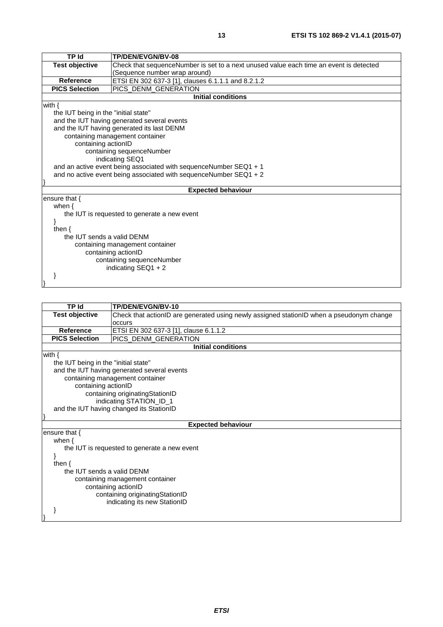| <b>TP Id</b>                                                      | TP/DEN/EVGN/BV-08                                                                      |  |  |
|-------------------------------------------------------------------|----------------------------------------------------------------------------------------|--|--|
| <b>Test objective</b>                                             | Check that sequenceNumber is set to a next unused value each time an event is detected |  |  |
|                                                                   | (Sequence number wrap around)                                                          |  |  |
| <b>Reference</b>                                                  | ETSI EN 302 637-3 [1], clauses 6.1.1.1 and 8.2.1.2                                     |  |  |
| <b>PICS Selection</b>                                             | PICS_DENM_GENERATION                                                                   |  |  |
|                                                                   | <b>Initial conditions</b>                                                              |  |  |
| with $\{$                                                         |                                                                                        |  |  |
| the IUT being in the "initial state"                              |                                                                                        |  |  |
|                                                                   | and the IUT having generated several events                                            |  |  |
|                                                                   | and the IUT having generated its last DENM                                             |  |  |
|                                                                   | containing management container                                                        |  |  |
|                                                                   | containing actionID                                                                    |  |  |
| containing sequenceNumber                                         |                                                                                        |  |  |
| indicating SEQ1                                                   |                                                                                        |  |  |
| and an active event being associated with sequenceNumber SEQ1 + 1 |                                                                                        |  |  |
|                                                                   | and no active event being associated with sequenceNumber SEQ1 + 2                      |  |  |
|                                                                   |                                                                                        |  |  |
|                                                                   | <b>Expected behaviour</b>                                                              |  |  |
| ensure that $\{$                                                  |                                                                                        |  |  |
| when $\{$                                                         |                                                                                        |  |  |
|                                                                   | the IUT is requested to generate a new event                                           |  |  |
|                                                                   |                                                                                        |  |  |
| then $\{$                                                         |                                                                                        |  |  |
| the IUT sends a valid DENM                                        |                                                                                        |  |  |
| containing management container                                   |                                                                                        |  |  |
|                                                                   | containing actionID                                                                    |  |  |
|                                                                   | containing sequenceNumber                                                              |  |  |
|                                                                   | indicating $SEQ1 + 2$                                                                  |  |  |
|                                                                   |                                                                                        |  |  |

| <b>TP Id</b>                                           | TP/DEN/EVGN/BV-10                                                                        |  |
|--------------------------------------------------------|------------------------------------------------------------------------------------------|--|
| <b>Test objective</b>                                  | Check that actionID are generated using newly assigned stationID when a pseudonym change |  |
|                                                        | occurs                                                                                   |  |
| <b>Reference</b>                                       | ETSI EN 302 637-3 [1], clause 6.1.1.2                                                    |  |
| <b>PICS Selection</b>                                  | PICS_DENM_GENERATION                                                                     |  |
|                                                        | <b>Initial conditions</b>                                                                |  |
| with $\{$                                              |                                                                                          |  |
| the IUT being in the "initial state"                   |                                                                                          |  |
|                                                        | and the IUT having generated several events                                              |  |
|                                                        | containing management container                                                          |  |
| containing actionID                                    |                                                                                          |  |
|                                                        | containing originatingStationID                                                          |  |
|                                                        | indicating STATION_ID_1                                                                  |  |
|                                                        | and the IUT having changed its StationID                                                 |  |
|                                                        |                                                                                          |  |
| <b>Expected behaviour</b>                              |                                                                                          |  |
| ensure that $\{$                                       |                                                                                          |  |
| when $\{$                                              |                                                                                          |  |
|                                                        | the IUT is requested to generate a new event                                             |  |
|                                                        |                                                                                          |  |
| then $\{$                                              |                                                                                          |  |
|                                                        | the IUT sends a valid DENM                                                               |  |
| containing management container<br>containing actionID |                                                                                          |  |
| containing originatingStationID                        |                                                                                          |  |
| indicating its new StationID                           |                                                                                          |  |
|                                                        |                                                                                          |  |
|                                                        |                                                                                          |  |
|                                                        |                                                                                          |  |
|                                                        |                                                                                          |  |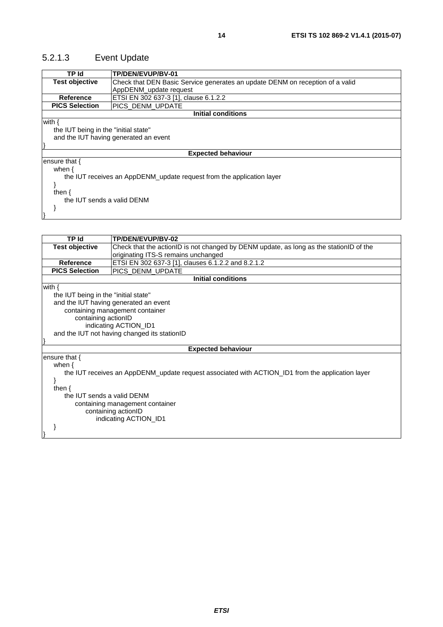# <span id="page-13-0"></span>5.2.1.3 Event Update

| TP Id                                                                 | TP/DEN/EVUP/BV-01                                                             |  |
|-----------------------------------------------------------------------|-------------------------------------------------------------------------------|--|
| <b>Test objective</b>                                                 | Check that DEN Basic Service generates an update DENM on reception of a valid |  |
|                                                                       | AppDENM update request                                                        |  |
| <b>Reference</b>                                                      | ETSI EN 302 637-3 [1], clause 6.1.2.2                                         |  |
| <b>PICS Selection</b>                                                 | IPICS DENM UPDATE                                                             |  |
|                                                                       | <b>Initial conditions</b>                                                     |  |
| with {                                                                |                                                                               |  |
| the IUT being in the "initial state"                                  |                                                                               |  |
|                                                                       | and the IUT having generated an event                                         |  |
|                                                                       |                                                                               |  |
|                                                                       | <b>Expected behaviour</b>                                                     |  |
| ensure that {                                                         |                                                                               |  |
| when $\{$                                                             |                                                                               |  |
| the IUT receives an AppDENM_update request from the application layer |                                                                               |  |
|                                                                       |                                                                               |  |
| then $\{$                                                             |                                                                               |  |
| the IUT sends a valid DENM                                            |                                                                               |  |
|                                                                       |                                                                               |  |
|                                                                       |                                                                               |  |

| TP Id                                | TP/DEN/EVUP/BV-02                                                                                |  |
|--------------------------------------|--------------------------------------------------------------------------------------------------|--|
| <b>Test objective</b>                | Check that the actionID is not changed by DENM update, as long as the stationID of the           |  |
|                                      | originating ITS-S remains unchanged                                                              |  |
| <b>Reference</b>                     | ETSI EN 302 637-3 [1], clauses 6.1.2.2 and 8.2.1.2                                               |  |
| <b>PICS Selection</b>                | PICS_DENM_UPDATE                                                                                 |  |
|                                      | <b>Initial conditions</b>                                                                        |  |
| with $\{$                            |                                                                                                  |  |
| the IUT being in the "initial state" |                                                                                                  |  |
|                                      | and the IUT having generated an event                                                            |  |
|                                      | containing management container                                                                  |  |
| containing actionID                  |                                                                                                  |  |
|                                      | indicating ACTION_ID1                                                                            |  |
|                                      | and the IUT not having changed its stationID                                                     |  |
|                                      |                                                                                                  |  |
|                                      | <b>Expected behaviour</b>                                                                        |  |
| ensure that {                        |                                                                                                  |  |
| when $\{$                            |                                                                                                  |  |
|                                      | the IUT receives an AppDENM_update request associated with ACTION_ID1 from the application layer |  |
|                                      |                                                                                                  |  |
| then $\{$                            |                                                                                                  |  |
| the IUT sends a valid DENM           |                                                                                                  |  |
| containing management container      |                                                                                                  |  |
| containing actionID                  |                                                                                                  |  |
|                                      | indicating ACTION_ID1                                                                            |  |
|                                      |                                                                                                  |  |
|                                      |                                                                                                  |  |
|                                      |                                                                                                  |  |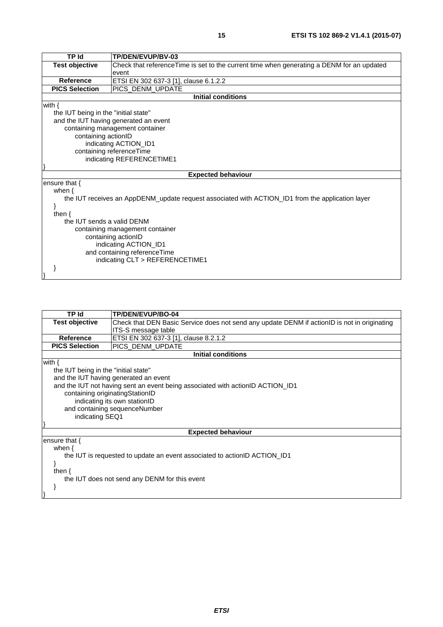| <b>TP Id</b>                         | TP/DEN/EVUP/BV-03                                                                                |  |
|--------------------------------------|--------------------------------------------------------------------------------------------------|--|
| <b>Test objective</b>                | Check that referenceTime is set to the current time when generating a DENM for an updated        |  |
|                                      | event                                                                                            |  |
| <b>Reference</b>                     | ETSI EN 302 637-3 [1], clause 6.1.2.2                                                            |  |
| <b>PICS Selection</b>                | IPICS DENM UPDATE                                                                                |  |
|                                      | <b>Initial conditions</b>                                                                        |  |
| with $\{$                            |                                                                                                  |  |
| the IUT being in the "initial state" |                                                                                                  |  |
|                                      | and the IUT having generated an event                                                            |  |
|                                      | containing management container                                                                  |  |
| containing actionID                  |                                                                                                  |  |
| indicating ACTION_ID1                |                                                                                                  |  |
| containing referenceTime             |                                                                                                  |  |
|                                      | indicating REFERENCETIME1                                                                        |  |
|                                      |                                                                                                  |  |
|                                      | <b>Expected behaviour</b>                                                                        |  |
| ensure that $\{$                     |                                                                                                  |  |
| when $\{$                            |                                                                                                  |  |
|                                      | the IUT receives an AppDENM_update request associated with ACTION_ID1 from the application layer |  |
|                                      |                                                                                                  |  |
| then $\{$                            |                                                                                                  |  |
| the IUT sends a valid DENM           |                                                                                                  |  |
| containing management container      |                                                                                                  |  |
| containing actionID                  |                                                                                                  |  |
| indicating ACTION_ID1                |                                                                                                  |  |
| and containing referenceTime         |                                                                                                  |  |
|                                      | indicating CLT > REFERENCETIME1                                                                  |  |
|                                      |                                                                                                  |  |
|                                      |                                                                                                  |  |

| TP Id                                | <b>TP/DEN/EVUP/BO-04</b>                                                                     |  |  |
|--------------------------------------|----------------------------------------------------------------------------------------------|--|--|
| <b>Test objective</b>                | Check that DEN Basic Service does not send any update DENM if actionID is not in originating |  |  |
|                                      | ITS-S message table                                                                          |  |  |
| Reference                            | ETSI EN 302 637-3 [1], clause 8.2.1.2                                                        |  |  |
| <b>PICS Selection</b>                | PICS_DENM_UPDATE                                                                             |  |  |
|                                      | <b>Initial conditions</b>                                                                    |  |  |
| with $\{$                            |                                                                                              |  |  |
| the IUT being in the "initial state" |                                                                                              |  |  |
|                                      | and the IUT having generated an event                                                        |  |  |
|                                      | and the IUT not having sent an event being associated with actionID ACTION_ID1               |  |  |
| containing originatingStationID      |                                                                                              |  |  |
|                                      |                                                                                              |  |  |
|                                      | indicating its own stationID<br>and containing sequenceNumber                                |  |  |
| indicating SEQ1                      |                                                                                              |  |  |
|                                      |                                                                                              |  |  |
|                                      |                                                                                              |  |  |
|                                      | <b>Expected behaviour</b>                                                                    |  |  |
| ensure that $\{$                     |                                                                                              |  |  |
| when $\{$                            |                                                                                              |  |  |
|                                      | the IUT is requested to update an event associated to actionID ACTION ID1                    |  |  |
|                                      |                                                                                              |  |  |
| then $\{$                            |                                                                                              |  |  |
|                                      | the IUT does not send any DENM for this event                                                |  |  |
|                                      |                                                                                              |  |  |
|                                      |                                                                                              |  |  |
|                                      |                                                                                              |  |  |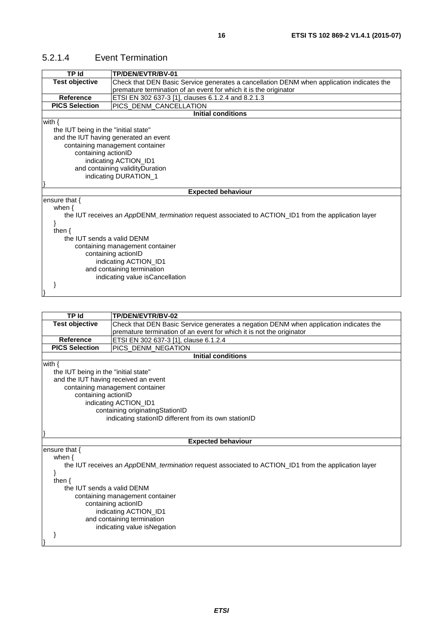### <span id="page-15-0"></span>5.2.1.4 Event Termination

| TP Id                                | TP/DEN/EVTR/BV-01                                                                                   |  |
|--------------------------------------|-----------------------------------------------------------------------------------------------------|--|
| <b>Test objective</b>                | Check that DEN Basic Service generates a cancellation DENM when application indicates the           |  |
|                                      | premature termination of an event for which it is the originator                                    |  |
| Reference                            | ETSI EN 302 637-3 [1], clauses 6.1.2.4 and 8.2.1.3                                                  |  |
| <b>PICS Selection</b>                | PICS_DENM_CANCELLATION                                                                              |  |
|                                      | <b>Initial conditions</b>                                                                           |  |
| with $\{$                            |                                                                                                     |  |
| the IUT being in the "initial state" |                                                                                                     |  |
|                                      | and the IUT having generated an event                                                               |  |
|                                      | containing management container                                                                     |  |
| containing actionID                  |                                                                                                     |  |
|                                      | indicating ACTION_ID1                                                                               |  |
| and containing validityDuration      |                                                                                                     |  |
|                                      | indicating DURATION_1                                                                               |  |
|                                      |                                                                                                     |  |
|                                      | <b>Expected behaviour</b>                                                                           |  |
| ensure that {                        |                                                                                                     |  |
| when $\{$                            |                                                                                                     |  |
|                                      | the IUT receives an AppDENM_termination request associated to ACTION_ID1 from the application layer |  |
|                                      |                                                                                                     |  |
| then $\{$                            |                                                                                                     |  |
|                                      | the IUT sends a valid DENM                                                                          |  |
| containing management container      |                                                                                                     |  |
| containing actionID                  |                                                                                                     |  |
|                                      | indicating ACTION_ID1                                                                               |  |
|                                      | and containing termination                                                                          |  |
|                                      | indicating value isCancellation                                                                     |  |
|                                      |                                                                                                     |  |
|                                      |                                                                                                     |  |

| TP Id                                | TP/DEN/EVTR/BV-02                                                                                          |  |
|--------------------------------------|------------------------------------------------------------------------------------------------------------|--|
| <b>Test objective</b>                | Check that DEN Basic Service generates a negation DENM when application indicates the                      |  |
|                                      | premature termination of an event for which it is not the originator                                       |  |
| <b>Reference</b>                     | ETSI EN 302 637-3 [1], clause 6.1.2.4                                                                      |  |
| <b>PICS Selection</b>                | PICS_DENM_NEGATION                                                                                         |  |
|                                      | <b>Initial conditions</b>                                                                                  |  |
| with $\{$                            |                                                                                                            |  |
| the IUT being in the "initial state" |                                                                                                            |  |
| and the IUT having received an event |                                                                                                            |  |
|                                      | containing management container                                                                            |  |
|                                      | containing actionID                                                                                        |  |
|                                      | indicating ACTION_ID1                                                                                      |  |
| containing originatingStationID      |                                                                                                            |  |
|                                      | indicating stationID different from its own stationID                                                      |  |
|                                      |                                                                                                            |  |
|                                      | <b>Expected behaviour</b>                                                                                  |  |
| ensure that {                        |                                                                                                            |  |
| when $\{$                            |                                                                                                            |  |
|                                      | the IUT receives an AppDENM <i>termination</i> request associated to ACTION ID1 from the application layer |  |
| ł                                    |                                                                                                            |  |
| then $\{$                            |                                                                                                            |  |
| the IUT sends a valid DENM           |                                                                                                            |  |
| containing management container      |                                                                                                            |  |
| containing actionID                  |                                                                                                            |  |
| indicating ACTION_ID1                |                                                                                                            |  |
|                                      | and containing termination                                                                                 |  |
|                                      | indicating value is Negation                                                                               |  |
|                                      |                                                                                                            |  |
|                                      |                                                                                                            |  |
|                                      |                                                                                                            |  |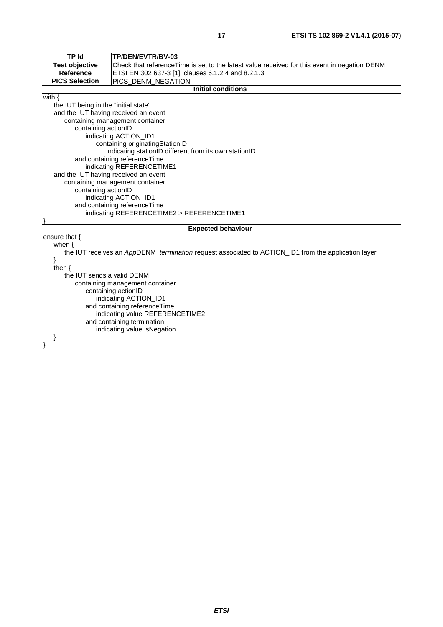| <b>TP Id</b>                         | TP/DEN/EVTR/BV-03                                                                                   |  |
|--------------------------------------|-----------------------------------------------------------------------------------------------------|--|
| <b>Test objective</b>                | Check that referenceTime is set to the latest value received for this event in negation DENM        |  |
| Reference                            | ETSI EN 302 637-3 [1], clauses 6.1.2.4 and 8.2.1.3                                                  |  |
| <b>PICS Selection</b>                | PICS_DENM_NEGATION                                                                                  |  |
|                                      | <b>Initial conditions</b>                                                                           |  |
| with $\{$                            |                                                                                                     |  |
| the IUT being in the "initial state" |                                                                                                     |  |
| and the IUT having received an event |                                                                                                     |  |
|                                      | containing management container                                                                     |  |
| containing actionID                  |                                                                                                     |  |
|                                      | indicating ACTION_ID1                                                                               |  |
|                                      | containing originatingStationID                                                                     |  |
|                                      | indicating stationID different from its own stationID                                               |  |
|                                      | and containing referenceTime                                                                        |  |
| indicating REFERENCETIME1            |                                                                                                     |  |
|                                      | and the IUT having received an event                                                                |  |
| containing management container      |                                                                                                     |  |
|                                      | containing actionID                                                                                 |  |
|                                      | indicating ACTION_ID1                                                                               |  |
|                                      | and containing referenceTime                                                                        |  |
|                                      | indicating REFERENCETIME2 > REFERENCETIME1                                                          |  |
|                                      | <b>Expected behaviour</b>                                                                           |  |
| ensure that {                        |                                                                                                     |  |
| when $\{$                            |                                                                                                     |  |
|                                      | the IUT receives an AppDENM_termination request associated to ACTION_ID1 from the application layer |  |
| }                                    |                                                                                                     |  |
| then $\{$                            |                                                                                                     |  |
| the IUT sends a valid DENM           |                                                                                                     |  |
|                                      | containing management container                                                                     |  |
| containing actionID                  |                                                                                                     |  |
|                                      | indicating ACTION_ID1                                                                               |  |
|                                      | and containing referenceTime                                                                        |  |
|                                      | indicating value REFERENCETIME2                                                                     |  |
|                                      | and containing termination                                                                          |  |
|                                      | indicating value isNegation                                                                         |  |
|                                      |                                                                                                     |  |
|                                      |                                                                                                     |  |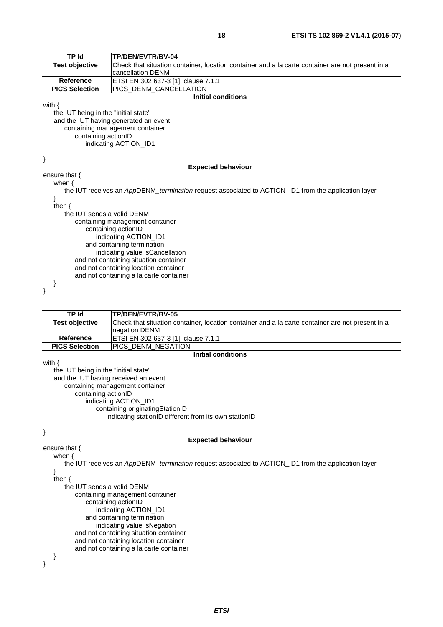| TP Id                                                                                               | TP/DEN/EVTR/BV-04                                                                                |  |
|-----------------------------------------------------------------------------------------------------|--------------------------------------------------------------------------------------------------|--|
| <b>Test objective</b>                                                                               | Check that situation container, location container and a la carte container are not present in a |  |
|                                                                                                     | cancellation DENM                                                                                |  |
| <b>Reference</b>                                                                                    | ETSI EN 302 637-3 [1], clause 7.1.1                                                              |  |
| <b>PICS Selection</b>                                                                               | PICS_DENM_CANCELLATION                                                                           |  |
|                                                                                                     | <b>Initial conditions</b>                                                                        |  |
| with $\{$                                                                                           |                                                                                                  |  |
| the IUT being in the "initial state"                                                                |                                                                                                  |  |
|                                                                                                     | and the IUT having generated an event                                                            |  |
|                                                                                                     | containing management container                                                                  |  |
| containing actionID                                                                                 |                                                                                                  |  |
|                                                                                                     | indicating ACTION_ID1                                                                            |  |
|                                                                                                     |                                                                                                  |  |
|                                                                                                     |                                                                                                  |  |
|                                                                                                     | <b>Expected behaviour</b>                                                                        |  |
| ensure that $\{$                                                                                    |                                                                                                  |  |
| when $\{$                                                                                           |                                                                                                  |  |
| the IUT receives an AppDENM_termination request associated to ACTION_ID1 from the application layer |                                                                                                  |  |
|                                                                                                     |                                                                                                  |  |
| then $\{$                                                                                           |                                                                                                  |  |
| the IUT sends a valid DENM                                                                          |                                                                                                  |  |
|                                                                                                     | containing management container                                                                  |  |
|                                                                                                     | containing actionID                                                                              |  |
| indicating ACTION_ID1                                                                               |                                                                                                  |  |
| and containing termination                                                                          |                                                                                                  |  |
| indicating value isCancellation                                                                     |                                                                                                  |  |
| and not containing situation container                                                              |                                                                                                  |  |
|                                                                                                     | and not containing location container                                                            |  |
|                                                                                                     | and not containing a la carte container                                                          |  |
|                                                                                                     |                                                                                                  |  |
|                                                                                                     |                                                                                                  |  |

| TP Id                                                                                               | <b>TP/DEN/EVTR/BV-05</b>                                                                         |  |
|-----------------------------------------------------------------------------------------------------|--------------------------------------------------------------------------------------------------|--|
| <b>Test objective</b>                                                                               | Check that situation container, location container and a la carte container are not present in a |  |
|                                                                                                     | negation DENM                                                                                    |  |
| <b>Reference</b>                                                                                    | ETSI EN 302 637-3 [1], clause 7.1.1                                                              |  |
| <b>PICS Selection</b>                                                                               | PICS_DENM_NEGATION                                                                               |  |
|                                                                                                     | <b>Initial conditions</b>                                                                        |  |
| with $\{$                                                                                           |                                                                                                  |  |
| the IUT being in the "initial state"                                                                |                                                                                                  |  |
|                                                                                                     | and the IUT having received an event                                                             |  |
|                                                                                                     | containing management container                                                                  |  |
| containing actionID                                                                                 |                                                                                                  |  |
|                                                                                                     | indicating ACTION_ID1                                                                            |  |
|                                                                                                     | containing originatingStationID                                                                  |  |
| indicating stationID different from its own stationID                                               |                                                                                                  |  |
|                                                                                                     |                                                                                                  |  |
|                                                                                                     |                                                                                                  |  |
|                                                                                                     | <b>Expected behaviour</b>                                                                        |  |
| ensure that {                                                                                       |                                                                                                  |  |
| when $\{$                                                                                           |                                                                                                  |  |
| the IUT receives an AppDENM_termination request associated to ACTION_ID1 from the application layer |                                                                                                  |  |
|                                                                                                     |                                                                                                  |  |
| then $\{$                                                                                           |                                                                                                  |  |
| the IUT sends a valid DENM                                                                          |                                                                                                  |  |
|                                                                                                     | containing management container                                                                  |  |

 containing actionID indicating ACTION\_ID1 and containing termination indicating value isNegation and not containing situation container and not containing location container and not containing a la carte container

 } }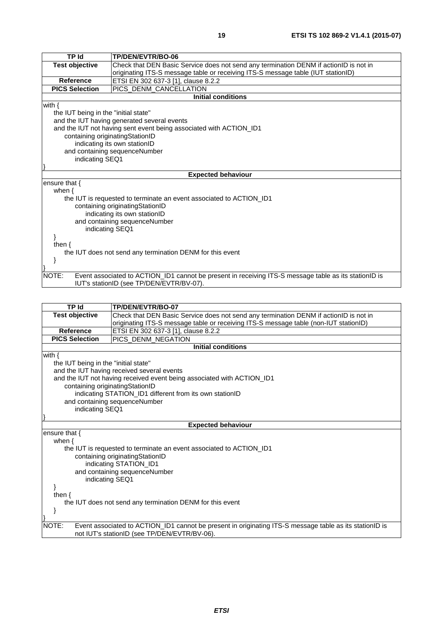| <b>TP Id</b>                         | TP/DEN/EVTR/BO-06                                                                                     |  |
|--------------------------------------|-------------------------------------------------------------------------------------------------------|--|
| <b>Test objective</b>                | Check that DEN Basic Service does not send any termination DENM if actionID is not in                 |  |
|                                      | originating ITS-S message table or receiving ITS-S message table (IUT stationID)                      |  |
| <b>Reference</b>                     | ETSI EN 302 637-3 [1], clause 8.2.2                                                                   |  |
| <b>PICS Selection</b>                | PICS_DENM_CANCELLATION                                                                                |  |
|                                      | <b>Initial conditions</b>                                                                             |  |
| with $\{$                            |                                                                                                       |  |
| the IUT being in the "initial state" |                                                                                                       |  |
|                                      | and the IUT having generated several events                                                           |  |
|                                      | and the IUT not having sent event being associated with ACTION_ID1                                    |  |
| containing originatingStationID      |                                                                                                       |  |
|                                      | indicating its own stationID                                                                          |  |
|                                      | and containing sequenceNumber                                                                         |  |
|                                      | indicating SEQ1                                                                                       |  |
|                                      |                                                                                                       |  |
|                                      | <b>Expected behaviour</b>                                                                             |  |
| ensure that {                        |                                                                                                       |  |
| when $\{$                            |                                                                                                       |  |
|                                      | the IUT is requested to terminate an event associated to ACTION ID1                                   |  |
|                                      | containing originatingStationID                                                                       |  |
| indicating its own stationID         |                                                                                                       |  |
| and containing sequenceNumber        |                                                                                                       |  |
| indicating SEQ1                      |                                                                                                       |  |
|                                      |                                                                                                       |  |
| then $\{$                            |                                                                                                       |  |
|                                      | the IUT does not send any termination DENM for this event                                             |  |
|                                      |                                                                                                       |  |
|                                      |                                                                                                       |  |
| NOTE:                                | Event associated to ACTION_ID1 cannot be present in receiving ITS-S message table as its stationID is |  |
|                                      | IUT's stationID (see TP/DEN/EVTR/BV-07).                                                              |  |

| <b>TP Id</b>                                                   | TP/DEN/EVTR/BO-07                                                                                                                                       |  |
|----------------------------------------------------------------|---------------------------------------------------------------------------------------------------------------------------------------------------------|--|
| <b>Test objective</b>                                          | Check that DEN Basic Service does not send any termination DENM if actionID is not in                                                                   |  |
|                                                                | originating ITS-S message table or receiving ITS-S message table (non-IUT stationID)                                                                    |  |
| Reference                                                      | ETSI EN 302 637-3 [1], clause 8.2.2                                                                                                                     |  |
| <b>PICS Selection</b>                                          | PICS DENM NEGATION                                                                                                                                      |  |
|                                                                | <b>Initial conditions</b>                                                                                                                               |  |
| with $\{$                                                      |                                                                                                                                                         |  |
| the IUT being in the "initial state"                           |                                                                                                                                                         |  |
|                                                                | and the IUT having received several events                                                                                                              |  |
|                                                                | and the IUT not having received event being associated with ACTION_ID1                                                                                  |  |
| containing originatingStationID                                |                                                                                                                                                         |  |
|                                                                | indicating STATION_ID1 different from its own stationID                                                                                                 |  |
| and containing sequenceNumber                                  |                                                                                                                                                         |  |
|                                                                | indicating SEQ1                                                                                                                                         |  |
|                                                                |                                                                                                                                                         |  |
|                                                                | <b>Expected behaviour</b>                                                                                                                               |  |
| ensure that {                                                  |                                                                                                                                                         |  |
| when $\{$                                                      |                                                                                                                                                         |  |
|                                                                | the IUT is requested to terminate an event associated to ACTION ID1                                                                                     |  |
|                                                                | containing originating Station ID                                                                                                                       |  |
|                                                                | indicating STATION_ID1                                                                                                                                  |  |
|                                                                | and containing sequenceNumber                                                                                                                           |  |
| indicating SEQ1                                                |                                                                                                                                                         |  |
|                                                                |                                                                                                                                                         |  |
| then $\{$                                                      |                                                                                                                                                         |  |
| the IUT does not send any termination DENM for this event<br>} |                                                                                                                                                         |  |
|                                                                |                                                                                                                                                         |  |
| NOTE:                                                          | Event associated to ACTION_ID1 cannot be present in originating ITS-S message table as its stationID is<br>not IUT's stationID (see TP/DEN/EVTR/BV-06). |  |
|                                                                |                                                                                                                                                         |  |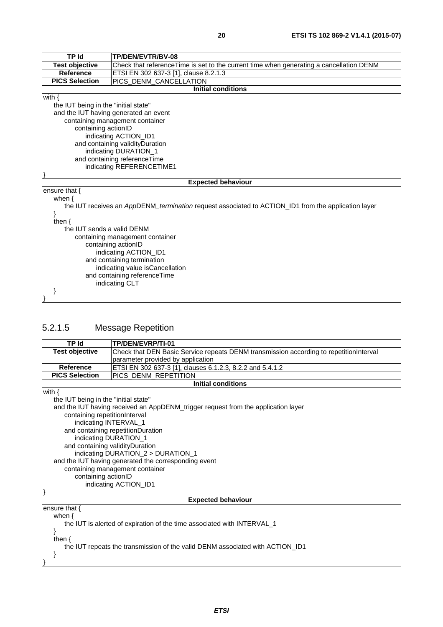<span id="page-19-0"></span>

| <b>TP Id</b>                                   | TP/DEN/EVTR/BV-08                                                                                   |  |
|------------------------------------------------|-----------------------------------------------------------------------------------------------------|--|
| <b>Test objective</b>                          | Check that referenceTime is set to the current time when generating a cancellation DENM             |  |
| <b>Reference</b>                               | ETSI EN 302 637-3 [1], clause 8.2.1.3                                                               |  |
| <b>PICS Selection</b>                          | PICS_DENM_CANCELLATION                                                                              |  |
|                                                | Initial conditions                                                                                  |  |
| with $\{$                                      |                                                                                                     |  |
| the IUT being in the "initial state"           |                                                                                                     |  |
|                                                | and the IUT having generated an event                                                               |  |
|                                                | containing management container                                                                     |  |
| containing actionID                            |                                                                                                     |  |
|                                                | indicating ACTION_ID1                                                                               |  |
|                                                | and containing validity Duration                                                                    |  |
|                                                | indicating DURATION_1                                                                               |  |
|                                                | and containing referenceTime                                                                        |  |
| indicating REFERENCETIME1                      |                                                                                                     |  |
|                                                |                                                                                                     |  |
|                                                | <b>Expected behaviour</b>                                                                           |  |
| ensure that {                                  |                                                                                                     |  |
| when $\{$                                      |                                                                                                     |  |
|                                                | the IUT receives an AppDENM_termination request associated to ACTION_ID1 from the application layer |  |
|                                                |                                                                                                     |  |
| then $\{$                                      |                                                                                                     |  |
| the IUT sends a valid DENM                     |                                                                                                     |  |
| containing management container                |                                                                                                     |  |
| containing actionID                            |                                                                                                     |  |
| indicating ACTION_ID1                          |                                                                                                     |  |
| and containing termination                     |                                                                                                     |  |
| indicating value is Cancellation               |                                                                                                     |  |
| and containing referenceTime<br>indicating CLT |                                                                                                     |  |
|                                                |                                                                                                     |  |
|                                                |                                                                                                     |  |

# 5.2.1.5 Message Repetition

| <b>TP Id</b>                                                                                                                                                                                                                                                                                                                                                                                                                                                                       | TP/DEN/EVRP/TI-01                                                                      |  |
|------------------------------------------------------------------------------------------------------------------------------------------------------------------------------------------------------------------------------------------------------------------------------------------------------------------------------------------------------------------------------------------------------------------------------------------------------------------------------------|----------------------------------------------------------------------------------------|--|
| <b>Test objective</b>                                                                                                                                                                                                                                                                                                                                                                                                                                                              | Check that DEN Basic Service repeats DENM transmission according to repetitionInterval |  |
|                                                                                                                                                                                                                                                                                                                                                                                                                                                                                    | parameter provided by application                                                      |  |
| <b>Reference</b>                                                                                                                                                                                                                                                                                                                                                                                                                                                                   | ETSI EN 302 637-3 [1], clauses 6.1.2.3, 8.2.2 and 5.4.1.2                              |  |
| <b>PICS Selection</b>                                                                                                                                                                                                                                                                                                                                                                                                                                                              | PICS_DENM_REPETITION                                                                   |  |
|                                                                                                                                                                                                                                                                                                                                                                                                                                                                                    | <b>Initial conditions</b>                                                              |  |
| with $\{$<br>the IUT being in the "initial state"<br>and the IUT having received an AppDENM_trigger request from the application layer<br>containing repetitionInterval<br>indicating INTERVAL_1<br>and containing repetitionDuration<br>indicating DURATION_1<br>and containing validityDuration<br>indicating DURATION_2 > DURATION_1<br>and the IUT having generated the corresponding event<br>containing management container<br>containing actionID<br>indicating ACTION_ID1 |                                                                                        |  |
|                                                                                                                                                                                                                                                                                                                                                                                                                                                                                    |                                                                                        |  |
|                                                                                                                                                                                                                                                                                                                                                                                                                                                                                    | <b>Expected behaviour</b>                                                              |  |
| ensure that {<br>when $\{$<br>the IUT is alerted of expiration of the time associated with INTERVAL_1<br>then $\{$<br>the IUT repeats the transmission of the valid DENM associated with ACTION_ID1                                                                                                                                                                                                                                                                                |                                                                                        |  |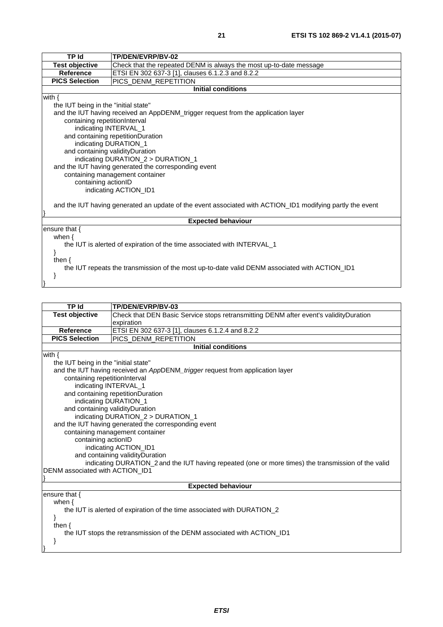| ٦<br>×. |  |
|---------|--|
|         |  |

| TP Id                                                                                                     | TP/DEN/EVRP/BV-02                                                                 |  |
|-----------------------------------------------------------------------------------------------------------|-----------------------------------------------------------------------------------|--|
| <b>Test objective</b>                                                                                     | Check that the repeated DENM is always the most up-to-date message                |  |
| <b>Reference</b>                                                                                          | ETSI EN 302 637-3 [1], clauses 6.1.2.3 and 8.2.2                                  |  |
| <b>PICS Selection</b>                                                                                     | PICS DENM REPETITION                                                              |  |
|                                                                                                           | <b>Initial conditions</b>                                                         |  |
| with $\{$                                                                                                 |                                                                                   |  |
| the IUT being in the "initial state"                                                                      |                                                                                   |  |
|                                                                                                           | and the IUT having received an AppDENM_trigger request from the application layer |  |
| containing repetitionInterval                                                                             |                                                                                   |  |
| indicating INTERVAL_1                                                                                     |                                                                                   |  |
|                                                                                                           | and containing repetitionDuration                                                 |  |
|                                                                                                           | indicating DURATION_1                                                             |  |
| and containing validityDuration                                                                           |                                                                                   |  |
|                                                                                                           | indicating DURATION_2 > DURATION_1                                                |  |
|                                                                                                           | and the IUT having generated the corresponding event                              |  |
|                                                                                                           | containing management container                                                   |  |
| containing actionID                                                                                       |                                                                                   |  |
| indicating ACTION_ID1                                                                                     |                                                                                   |  |
|                                                                                                           |                                                                                   |  |
| and the IUT having generated an update of the event associated with ACTION_ID1 modifying partly the event |                                                                                   |  |
|                                                                                                           | <b>Expected behaviour</b>                                                         |  |
| ensure that $\{$                                                                                          |                                                                                   |  |
| when $\{$                                                                                                 |                                                                                   |  |
| the IUT is alerted of expiration of the time associated with INTERVAL_1                                   |                                                                                   |  |
|                                                                                                           |                                                                                   |  |
| then $\{$                                                                                                 |                                                                                   |  |
| the IUT repeats the transmission of the most up-to-date valid DENM associated with ACTION_ID1             |                                                                                   |  |
|                                                                                                           |                                                                                   |  |
|                                                                                                           |                                                                                   |  |
|                                                                                                           |                                                                                   |  |

| <b>TP Id</b>                                                                                        | TP/DEN/EVRP/BV-03                                                                     |  |
|-----------------------------------------------------------------------------------------------------|---------------------------------------------------------------------------------------|--|
| <b>Test objective</b>                                                                               | Check that DEN Basic Service stops retransmitting DENM after event's validityDuration |  |
|                                                                                                     | expiration                                                                            |  |
| <b>Reference</b>                                                                                    | ETSI EN 302 637-3 [1], clauses 6.1.2.4 and 8.2.2                                      |  |
| <b>PICS Selection</b>                                                                               | PICS DENM REPETITION                                                                  |  |
|                                                                                                     | <b>Initial conditions</b>                                                             |  |
| with $\{$                                                                                           |                                                                                       |  |
| the IUT being in the "initial state"                                                                |                                                                                       |  |
|                                                                                                     | and the IUT having received an AppDENM_trigger request from application layer         |  |
| containing repetitionInterval                                                                       |                                                                                       |  |
| indicating INTERVAL_1                                                                               |                                                                                       |  |
|                                                                                                     | and containing repetitionDuration                                                     |  |
| indicating DURATION_1                                                                               |                                                                                       |  |
| and containing validityDuration                                                                     |                                                                                       |  |
|                                                                                                     | indicating DURATION 2 > DURATION 1                                                    |  |
|                                                                                                     | and the IUT having generated the corresponding event                                  |  |
|                                                                                                     | containing management container                                                       |  |
|                                                                                                     | containing actionID                                                                   |  |
|                                                                                                     | indicating ACTION_ID1                                                                 |  |
| and containing validityDuration                                                                     |                                                                                       |  |
| indicating DURATION_2 and the IUT having repeated (one or more times) the transmission of the valid |                                                                                       |  |
| DENM associated with ACTION_ID1                                                                     |                                                                                       |  |
|                                                                                                     |                                                                                       |  |
|                                                                                                     | <b>Expected behaviour</b>                                                             |  |
| ensure that $\{$                                                                                    |                                                                                       |  |
| when $\{$                                                                                           |                                                                                       |  |
| the IUT is alerted of expiration of the time associated with DURATION 2                             |                                                                                       |  |
|                                                                                                     |                                                                                       |  |
| then $\{$                                                                                           |                                                                                       |  |
|                                                                                                     | the IUT stops the retransmission of the DENM associated with ACTION_ID1               |  |
|                                                                                                     |                                                                                       |  |
|                                                                                                     |                                                                                       |  |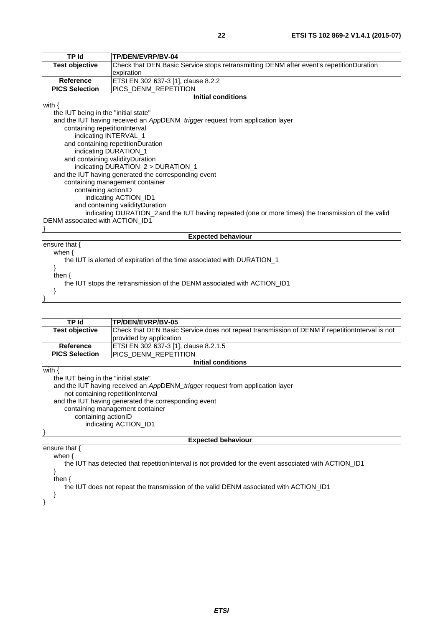| <b>TP Id</b>                                                                                        | TP/DEN/EVRP/BV-04                                                                       |  |
|-----------------------------------------------------------------------------------------------------|-----------------------------------------------------------------------------------------|--|
| <b>Test objective</b>                                                                               | Check that DEN Basic Service stops retransmitting DENM after event's repetitionDuration |  |
|                                                                                                     | expiration                                                                              |  |
| <b>Reference</b>                                                                                    | ETSI EN 302 637-3 [1], clause 8.2.2                                                     |  |
| <b>PICS Selection</b>                                                                               | PICS DENM REPETITION                                                                    |  |
|                                                                                                     | <b>Initial conditions</b>                                                               |  |
| with $\{$                                                                                           |                                                                                         |  |
| the IUT being in the "initial state"                                                                |                                                                                         |  |
|                                                                                                     | and the IUT having received an AppDENM_trigger request from application layer           |  |
| containing repetitionInterval                                                                       |                                                                                         |  |
| indicating INTERVAL_1                                                                               |                                                                                         |  |
|                                                                                                     | and containing repetitionDuration                                                       |  |
| indicating DURATION_1                                                                               |                                                                                         |  |
| and containing validityDuration                                                                     |                                                                                         |  |
|                                                                                                     | indicating DURATION_2 > DURATION_1                                                      |  |
|                                                                                                     | and the IUT having generated the corresponding event                                    |  |
| containing management container                                                                     |                                                                                         |  |
| containing actionID                                                                                 |                                                                                         |  |
| indicating ACTION ID1                                                                               |                                                                                         |  |
| and containing validity Duration                                                                    |                                                                                         |  |
| indicating DURATION_2 and the IUT having repeated (one or more times) the transmission of the valid |                                                                                         |  |
| DENM associated with ACTION_ID1                                                                     |                                                                                         |  |
|                                                                                                     | <b>Expected behaviour</b>                                                               |  |
| ensure that {                                                                                       |                                                                                         |  |
| when $\{$                                                                                           |                                                                                         |  |
|                                                                                                     | the IUT is alerted of expiration of the time associated with DURATION_1                 |  |
|                                                                                                     |                                                                                         |  |
| then $\{$                                                                                           |                                                                                         |  |
|                                                                                                     | the IUT stops the retransmission of the DENM associated with ACTION_ID1                 |  |
| }                                                                                                   |                                                                                         |  |
|                                                                                                     |                                                                                         |  |

| TP Id                                                                                                  | TP/DEN/EVRP/BV-05                                                                               |
|--------------------------------------------------------------------------------------------------------|-------------------------------------------------------------------------------------------------|
| <b>Test objective</b>                                                                                  | Check that DEN Basic Service does not repeat transmission of DENM if repetition Interval is not |
|                                                                                                        | provided by application                                                                         |
| <b>Reference</b>                                                                                       | ETSI EN 302 637-3 [1], clause 8.2.1.5                                                           |
| <b>PICS Selection</b>                                                                                  | PICS DENM REPETITION                                                                            |
|                                                                                                        | <b>Initial conditions</b>                                                                       |
| with $\{$                                                                                              |                                                                                                 |
| the IUT being in the "initial state"                                                                   |                                                                                                 |
| and the IUT having received an AppDENM_trigger request from application layer                          |                                                                                                 |
| not containing repetitionInterval                                                                      |                                                                                                 |
| and the IUT having generated the corresponding event                                                   |                                                                                                 |
| containing management container                                                                        |                                                                                                 |
| containing actionID                                                                                    |                                                                                                 |
| indicating ACTION_ID1                                                                                  |                                                                                                 |
|                                                                                                        |                                                                                                 |
|                                                                                                        | <b>Expected behaviour</b>                                                                       |
| ensure that $\{$                                                                                       |                                                                                                 |
| when $\{$                                                                                              |                                                                                                 |
| the IUT has detected that repetition interval is not provided for the event associated with ACTION ID1 |                                                                                                 |
|                                                                                                        |                                                                                                 |
| then $\{$                                                                                              |                                                                                                 |
| the IUT does not repeat the transmission of the valid DENM associated with ACTION ID1                  |                                                                                                 |
|                                                                                                        |                                                                                                 |
|                                                                                                        |                                                                                                 |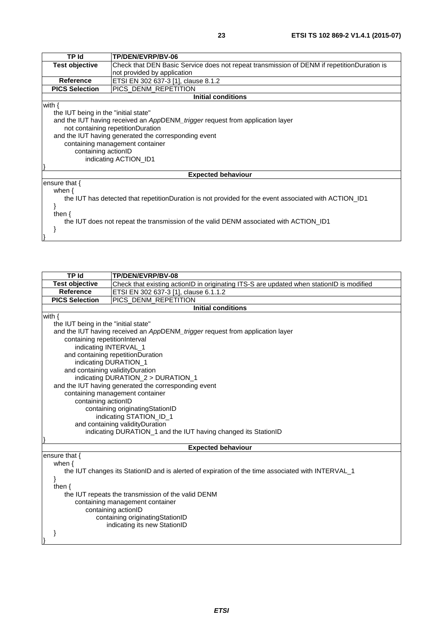| TP Id                                | TP/DEN/EVRP/BV-06                                                                                     |  |
|--------------------------------------|-------------------------------------------------------------------------------------------------------|--|
|                                      |                                                                                                       |  |
| <b>Test objective</b>                | Check that DEN Basic Service does not repeat transmission of DENM if repetitionDuration is            |  |
|                                      | not provided by application                                                                           |  |
| <b>Reference</b>                     | ETSI EN 302 637-3 [1], clause 8.1.2                                                                   |  |
| <b>PICS Selection</b>                | PICS DENM REPETITION                                                                                  |  |
|                                      | <b>Initial conditions</b>                                                                             |  |
| with $\{$                            |                                                                                                       |  |
| the IUT being in the "initial state" |                                                                                                       |  |
|                                      | and the IUT having received an AppDENM_trigger request from application layer                         |  |
|                                      | not containing repetitionDuration                                                                     |  |
|                                      |                                                                                                       |  |
|                                      | and the IUT having generated the corresponding event                                                  |  |
|                                      | containing management container                                                                       |  |
| containing actionID                  |                                                                                                       |  |
|                                      | indicating ACTION ID1                                                                                 |  |
|                                      |                                                                                                       |  |
|                                      | <b>Expected behaviour</b>                                                                             |  |
| ensure that $\{$                     |                                                                                                       |  |
| when $\{$                            |                                                                                                       |  |
|                                      |                                                                                                       |  |
|                                      | the IUT has detected that repetitionDuration is not provided for the event associated with ACTION ID1 |  |
|                                      |                                                                                                       |  |
| then $\{$                            |                                                                                                       |  |
|                                      | the IUT does not repeat the transmission of the valid DENM associated with ACTION ID1                 |  |
|                                      |                                                                                                       |  |
|                                      |                                                                                                       |  |

| <b>TP Id</b>                                                   | TP/DEN/EVRP/BV-08                                                                                 |  |
|----------------------------------------------------------------|---------------------------------------------------------------------------------------------------|--|
| <b>Test objective</b>                                          | Check that existing actionID in originating ITS-S are updated when stationID is modified          |  |
| <b>Reference</b>                                               | ETSI EN 302 637-3 [1], clause 6.1.1.2                                                             |  |
| <b>PICS Selection</b>                                          | PICS DENM REPETITION                                                                              |  |
|                                                                | <b>Initial conditions</b>                                                                         |  |
| with $\{$                                                      |                                                                                                   |  |
| the IUT being in the "initial state"                           |                                                                                                   |  |
|                                                                | and the IUT having received an AppDENM_trigger request from application layer                     |  |
| containing repetitionInterval                                  |                                                                                                   |  |
| indicating INTERVAL_1                                          |                                                                                                   |  |
|                                                                | and containing repetitionDuration                                                                 |  |
| indicating DURATION_1                                          |                                                                                                   |  |
| and containing validityDuration                                |                                                                                                   |  |
|                                                                | indicating DURATION_2 > DURATION_1                                                                |  |
|                                                                | and the IUT having generated the corresponding event                                              |  |
|                                                                | containing management container                                                                   |  |
| containing actionID                                            |                                                                                                   |  |
|                                                                | containing originatingStationID                                                                   |  |
|                                                                | indicating STATION_ID_1                                                                           |  |
| and containing validityDuration                                |                                                                                                   |  |
| indicating DURATION_1 and the IUT having changed its StationID |                                                                                                   |  |
|                                                                | <b>Expected behaviour</b>                                                                         |  |
| ensure that $\{$                                               |                                                                                                   |  |
| when $\{$                                                      |                                                                                                   |  |
|                                                                | the IUT changes its StationID and is alerted of expiration of the time associated with INTERVAL_1 |  |
| ł                                                              |                                                                                                   |  |
| then $\{$                                                      |                                                                                                   |  |
| the IUT repeats the transmission of the valid DENM             |                                                                                                   |  |
| containing management container                                |                                                                                                   |  |
|                                                                | containing actionID                                                                               |  |
|                                                                | containing originatingStationID                                                                   |  |
|                                                                | indicating its new StationID                                                                      |  |
|                                                                |                                                                                                   |  |
|                                                                |                                                                                                   |  |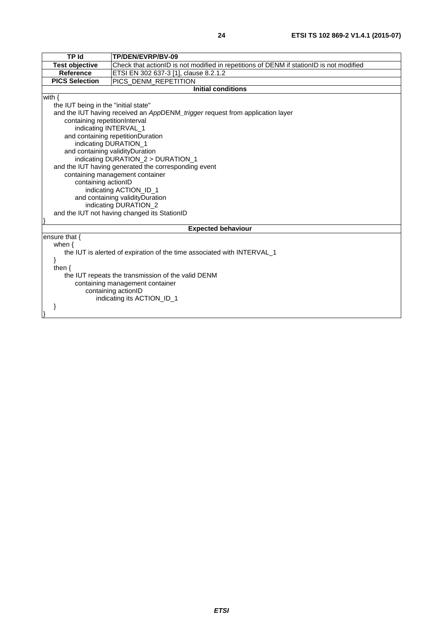| TP Id                                                                   | TP/DEN/EVRP/BV-09                                                                       |  |
|-------------------------------------------------------------------------|-----------------------------------------------------------------------------------------|--|
| <b>Test objective</b>                                                   | Check that actionID is not modified in repetitions of DENM if stationID is not modified |  |
| <b>Reference</b>                                                        | ETSI EN 302 637-3 [1], clause 8.2.1.2                                                   |  |
| <b>PICS Selection</b>                                                   | PICS DENM REPETITION                                                                    |  |
|                                                                         | <b>Initial conditions</b>                                                               |  |
| with $\{$                                                               |                                                                                         |  |
| the IUT being in the "initial state"                                    |                                                                                         |  |
|                                                                         | and the IUT having received an AppDENM_trigger request from application layer           |  |
| containing repetitionInterval                                           |                                                                                         |  |
| indicating INTERVAL_1                                                   |                                                                                         |  |
|                                                                         | and containing repetitionDuration                                                       |  |
|                                                                         | indicating DURATION_1                                                                   |  |
| and containing validityDuration                                         |                                                                                         |  |
|                                                                         | indicating DURATION_2 > DURATION_1                                                      |  |
|                                                                         | and the IUT having generated the corresponding event                                    |  |
|                                                                         | containing management container                                                         |  |
| containing actionID                                                     |                                                                                         |  |
|                                                                         | indicating ACTION_ID_1                                                                  |  |
| and containing validityDuration                                         |                                                                                         |  |
| indicating DURATION_2                                                   |                                                                                         |  |
| and the IUT not having changed its StationID                            |                                                                                         |  |
|                                                                         |                                                                                         |  |
| <b>Expected behaviour</b>                                               |                                                                                         |  |
| ensure that {                                                           |                                                                                         |  |
| when $\{$                                                               |                                                                                         |  |
| the IUT is alerted of expiration of the time associated with INTERVAL_1 |                                                                                         |  |
|                                                                         |                                                                                         |  |
| then $\{$                                                               |                                                                                         |  |
| the IUT repeats the transmission of the valid DENM                      |                                                                                         |  |
| containing management container                                         |                                                                                         |  |
| containing actionID                                                     |                                                                                         |  |
| indicating its ACTION_ID_1                                              |                                                                                         |  |
|                                                                         |                                                                                         |  |
|                                                                         |                                                                                         |  |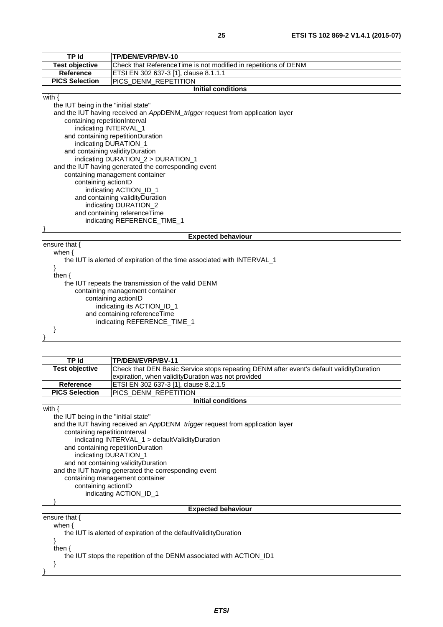| <b>TP Id</b>                                                            | TP/DEN/EVRP/BV-10                                                             |  |
|-------------------------------------------------------------------------|-------------------------------------------------------------------------------|--|
| <b>Test objective</b>                                                   | Check that ReferenceTime is not modified in repetitions of DENM               |  |
| <b>Reference</b>                                                        | ETSI EN 302 637-3 [1], clause 8.1.1.1                                         |  |
| <b>PICS Selection</b>                                                   | PICS DENM REPETITION                                                          |  |
|                                                                         | <b>Initial conditions</b>                                                     |  |
| with $\{$                                                               |                                                                               |  |
| the IUT being in the "initial state"                                    |                                                                               |  |
|                                                                         | and the IUT having received an AppDENM_trigger request from application layer |  |
| containing repetitionInterval                                           |                                                                               |  |
| indicating INTERVAL_1                                                   |                                                                               |  |
|                                                                         | and containing repetitionDuration                                             |  |
|                                                                         | indicating DURATION_1                                                         |  |
| and containing validityDuration                                         |                                                                               |  |
|                                                                         | indicating DURATION_2 > DURATION_1                                            |  |
|                                                                         | and the IUT having generated the corresponding event                          |  |
|                                                                         | containing management container                                               |  |
|                                                                         | containing actionID                                                           |  |
|                                                                         | indicating ACTION_ID_1                                                        |  |
|                                                                         | and containing validityDuration                                               |  |
|                                                                         | indicating DURATION_2                                                         |  |
| and containing referenceTime                                            |                                                                               |  |
| indicating REFERENCE_TIME_1                                             |                                                                               |  |
|                                                                         |                                                                               |  |
|                                                                         | <b>Expected behaviour</b>                                                     |  |
| ensure that {                                                           |                                                                               |  |
| when $\{$                                                               |                                                                               |  |
| the IUT is alerted of expiration of the time associated with INTERVAL_1 |                                                                               |  |
| ł                                                                       |                                                                               |  |
| then $\{$                                                               |                                                                               |  |
| the IUT repeats the transmission of the valid DENM                      |                                                                               |  |
| containing management container                                         |                                                                               |  |
| containing actionID<br>indicating its ACTION_ID_1                       |                                                                               |  |
| and containing referenceTime                                            |                                                                               |  |
| indicating REFERENCE_TIME_1                                             |                                                                               |  |
|                                                                         |                                                                               |  |
|                                                                         |                                                                               |  |
|                                                                         |                                                                               |  |

| <b>TP Id</b>                                                        | TP/DEN/EVRP/BV-11                                                                        |  |
|---------------------------------------------------------------------|------------------------------------------------------------------------------------------|--|
| <b>Test objective</b>                                               | Check that DEN Basic Service stops repeating DENM after event's default validityDuration |  |
|                                                                     | expiration, when validityDuration was not provided                                       |  |
| <b>Reference</b>                                                    | ETSI EN 302 637-3 [1], clause 8.2.1.5                                                    |  |
| <b>PICS Selection</b>                                               | PICS DENM REPETITION                                                                     |  |
|                                                                     | <b>Initial conditions</b>                                                                |  |
| with $\{$                                                           |                                                                                          |  |
| the IUT being in the "initial state"                                |                                                                                          |  |
|                                                                     | and the IUT having received an AppDENM_trigger request from application layer            |  |
|                                                                     | containing repetitionInterval                                                            |  |
|                                                                     | indicating INTERVAL_1 > defaultValidityDuration                                          |  |
|                                                                     | and containing repetitionDuration                                                        |  |
| indicating DURATION_1                                               |                                                                                          |  |
|                                                                     | and not containing validityDuration                                                      |  |
|                                                                     | and the IUT having generated the corresponding event                                     |  |
| containing management container                                     |                                                                                          |  |
|                                                                     | containing actionID                                                                      |  |
|                                                                     | indicating ACTION_ID_1                                                                   |  |
|                                                                     |                                                                                          |  |
| <b>Expected behaviour</b>                                           |                                                                                          |  |
| ensure that {                                                       |                                                                                          |  |
| when $\{$                                                           |                                                                                          |  |
| the IUT is alerted of expiration of the default Validity Duration   |                                                                                          |  |
|                                                                     |                                                                                          |  |
| then $\{$                                                           |                                                                                          |  |
| the IUT stops the repetition of the DENM associated with ACTION_ID1 |                                                                                          |  |
|                                                                     |                                                                                          |  |
|                                                                     |                                                                                          |  |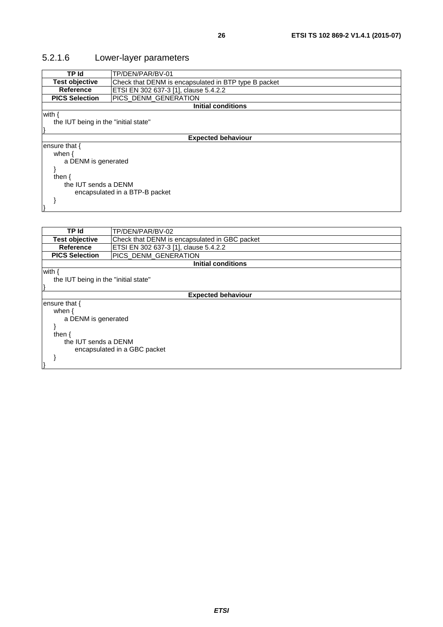# <span id="page-25-0"></span>5.2.1.6 Lower-layer parameters

| TP Id                                | TP/DEN/PAR/BV-01                                     |
|--------------------------------------|------------------------------------------------------|
| <b>Test objective</b>                | Check that DENM is encapsulated in BTP type B packet |
| <b>Reference</b>                     | ETSI EN 302 637-3 [1], clause 5.4.2.2                |
| <b>PICS Selection</b>                | PICS_DENM_GENERATION                                 |
|                                      | <b>Initial conditions</b>                            |
| with $\{$                            |                                                      |
| the IUT being in the "initial state" |                                                      |
|                                      |                                                      |
| <b>Expected behaviour</b>            |                                                      |
| ensure that {                        |                                                      |
| when $\{$                            |                                                      |
| a DENM is generated                  |                                                      |
|                                      |                                                      |
| then $\{$                            |                                                      |
| the IUT sends a DENM                 |                                                      |
| encapsulated in a BTP-B packet       |                                                      |
|                                      |                                                      |
|                                      |                                                      |
|                                      |                                                      |
|                                      |                                                      |
| <b>TD IA</b>                         | TD/DENI/DAD/RV 02                                    |

| TP Id                                | TP/DEN/PAR/BV-02                              |  |  |
|--------------------------------------|-----------------------------------------------|--|--|
| <b>Test objective</b>                | Check that DENM is encapsulated in GBC packet |  |  |
| <b>Reference</b>                     | ETSI EN 302 637-3 [1], clause 5.4.2.2         |  |  |
| <b>PICS Selection</b>                | PICS DENM GENERATION                          |  |  |
|                                      | <b>Initial conditions</b>                     |  |  |
| with {                               |                                               |  |  |
| the IUT being in the "initial state" |                                               |  |  |
|                                      |                                               |  |  |
|                                      | <b>Expected behaviour</b>                     |  |  |
| ensure that {                        |                                               |  |  |
| when $\{$                            |                                               |  |  |
| a DENM is generated                  |                                               |  |  |
|                                      |                                               |  |  |
| then $\{$                            |                                               |  |  |
| the IUT sends a DENM                 |                                               |  |  |
| encapsulated in a GBC packet         |                                               |  |  |
|                                      |                                               |  |  |
|                                      |                                               |  |  |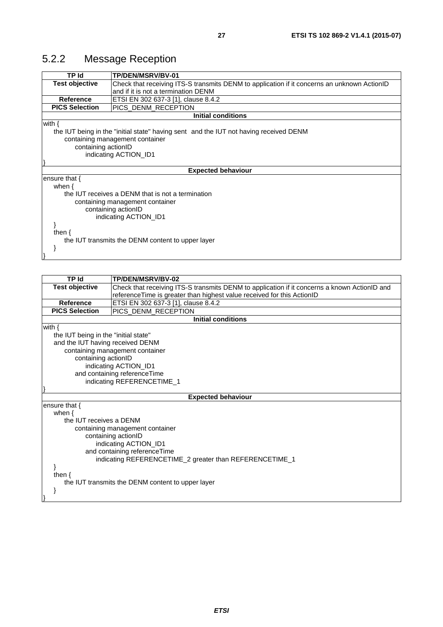<span id="page-26-0"></span>

| TP Id                                                                                 | <b>TP/DEN/MSRV/BV-01</b>                                                                    |  |
|---------------------------------------------------------------------------------------|---------------------------------------------------------------------------------------------|--|
| <b>Test objective</b>                                                                 | Check that receiving ITS-S transmits DENM to application if it concerns an unknown ActionID |  |
|                                                                                       | and if it is not a termination DENM                                                         |  |
| <b>Reference</b>                                                                      | ETSI EN 302 637-3 [1], clause 8.4.2                                                         |  |
| <b>PICS Selection</b>                                                                 | PICS DENM RECEPTION                                                                         |  |
|                                                                                       | <b>Initial conditions</b>                                                                   |  |
| with $\{$                                                                             |                                                                                             |  |
| the IUT being in the "initial state" having sent and the IUT not having received DENM |                                                                                             |  |
|                                                                                       | containing management container                                                             |  |
| containing actionID                                                                   |                                                                                             |  |
| indicating ACTION_ID1                                                                 |                                                                                             |  |
|                                                                                       |                                                                                             |  |
|                                                                                       | <b>Expected behaviour</b>                                                                   |  |
| ensure that {                                                                         |                                                                                             |  |
| when $\{$                                                                             |                                                                                             |  |
|                                                                                       | the IUT receives a DENM that is not a termination                                           |  |
|                                                                                       | containing management container                                                             |  |
|                                                                                       | containing actionID                                                                         |  |
|                                                                                       | indicating ACTION ID1                                                                       |  |
|                                                                                       |                                                                                             |  |
| then $\{$                                                                             |                                                                                             |  |
| the IUT transmits the DENM content to upper layer                                     |                                                                                             |  |
|                                                                                       |                                                                                             |  |
|                                                                                       |                                                                                             |  |

| <b>TP Id</b>                                      | <b>TP/DEN/MSRV/BV-02</b>                                                                     |  |
|---------------------------------------------------|----------------------------------------------------------------------------------------------|--|
| <b>Test objective</b>                             | Check that receiving ITS-S transmits DENM to application if it concerns a known ActionID and |  |
|                                                   | reference Time is greater than highest value received for this ActionID                      |  |
| <b>Reference</b>                                  | ETSI EN 302 637-3 [1], clause 8.4.2                                                          |  |
| <b>PICS Selection</b>                             | <b>PICS DENM RECEPTION</b>                                                                   |  |
|                                                   | <b>Initial conditions</b>                                                                    |  |
| with $\{$                                         |                                                                                              |  |
| the IUT being in the "initial state"              |                                                                                              |  |
| and the IUT having received DENM                  |                                                                                              |  |
|                                                   | containing management container                                                              |  |
| containing actionID                               |                                                                                              |  |
|                                                   | indicating ACTION_ID1                                                                        |  |
|                                                   | and containing referenceTime                                                                 |  |
|                                                   | indicating REFERENCETIME_1                                                                   |  |
|                                                   |                                                                                              |  |
|                                                   | <b>Expected behaviour</b>                                                                    |  |
| ensure that $\{$                                  |                                                                                              |  |
| when $\{$                                         |                                                                                              |  |
|                                                   | the IUT receives a DENM<br>containing management container                                   |  |
|                                                   |                                                                                              |  |
|                                                   | containing actionID<br>indicating ACTION_ID1                                                 |  |
| and containing referenceTime                      |                                                                                              |  |
|                                                   | indicating REFERENCETIME_2 greater than REFERENCETIME_1                                      |  |
|                                                   |                                                                                              |  |
| then $\{$                                         |                                                                                              |  |
| the IUT transmits the DENM content to upper layer |                                                                                              |  |
|                                                   |                                                                                              |  |
|                                                   |                                                                                              |  |
|                                                   |                                                                                              |  |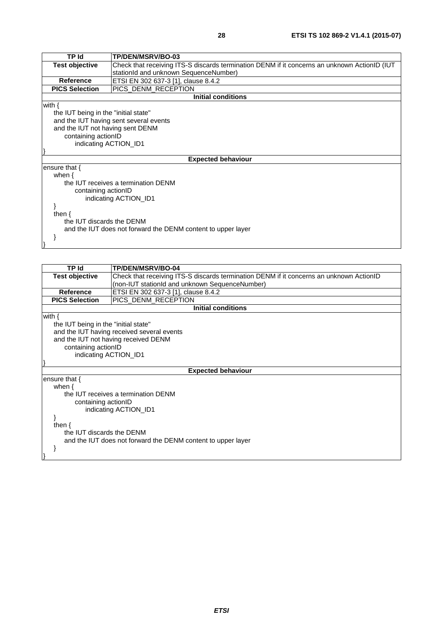| <b>TP Id</b>                                                 | TP/DEN/MSRV/BO-03                                                                            |  |
|--------------------------------------------------------------|----------------------------------------------------------------------------------------------|--|
| <b>Test objective</b>                                        | Check that receiving ITS-S discards termination DENM if it concerns an unknown ActionID (IUT |  |
|                                                              | stationId and unknown SequenceNumber)                                                        |  |
| <b>Reference</b>                                             | ETSI EN 302 637-3 [1], clause 8.4.2                                                          |  |
| <b>PICS Selection</b>                                        | PICS_DENM_RECEPTION                                                                          |  |
|                                                              | <b>Initial conditions</b>                                                                    |  |
| with $\{$                                                    |                                                                                              |  |
| the IUT being in the "initial state"                         |                                                                                              |  |
|                                                              | and the IUT having sent several events                                                       |  |
| and the IUT not having sent DENM                             |                                                                                              |  |
|                                                              | containing actionID                                                                          |  |
|                                                              | indicating ACTION_ID1                                                                        |  |
|                                                              |                                                                                              |  |
| <b>Expected behaviour</b>                                    |                                                                                              |  |
| ensure that {                                                |                                                                                              |  |
| when $\{$                                                    |                                                                                              |  |
|                                                              | the IUT receives a termination DENM                                                          |  |
| containing actionID                                          |                                                                                              |  |
| indicating ACTION_ID1                                        |                                                                                              |  |
|                                                              |                                                                                              |  |
| then $\{$                                                    |                                                                                              |  |
| the IUT discards the DENM                                    |                                                                                              |  |
| and the IUT does not forward the DENM content to upper layer |                                                                                              |  |
|                                                              |                                                                                              |  |
|                                                              |                                                                                              |  |

| <b>TP Id</b>                                                                                                                                                                            | TP/DEN/MSRV/BO-04                                                                       |
|-----------------------------------------------------------------------------------------------------------------------------------------------------------------------------------------|-----------------------------------------------------------------------------------------|
| <b>Test objective</b>                                                                                                                                                                   | Check that receiving ITS-S discards termination DENM if it concerns an unknown ActionID |
|                                                                                                                                                                                         | (non-IUT stationId and unknown SequenceNumber)                                          |
| <b>Reference</b>                                                                                                                                                                        | ETSI EN 302 637-3 [1], clause 8.4.2                                                     |
| <b>PICS Selection</b>                                                                                                                                                                   | PICS_DENM_RECEPTION                                                                     |
|                                                                                                                                                                                         | <b>Initial conditions</b>                                                               |
| with $\{$<br>the IUT being in the "initial state"<br>and the IUT having received several events<br>and the IUT not having received DENM<br>containing actionID<br>indicating ACTION_ID1 |                                                                                         |
|                                                                                                                                                                                         | <b>Expected behaviour</b>                                                               |
| ensure that $\{$<br>when $\{$                                                                                                                                                           |                                                                                         |
| the IUT receives a termination DENM<br>containing actionID<br>indicating ACTION_ID1                                                                                                     |                                                                                         |
| then $\{$<br>the IUT discards the DENM<br>and the IUT does not forward the DENM content to upper layer                                                                                  |                                                                                         |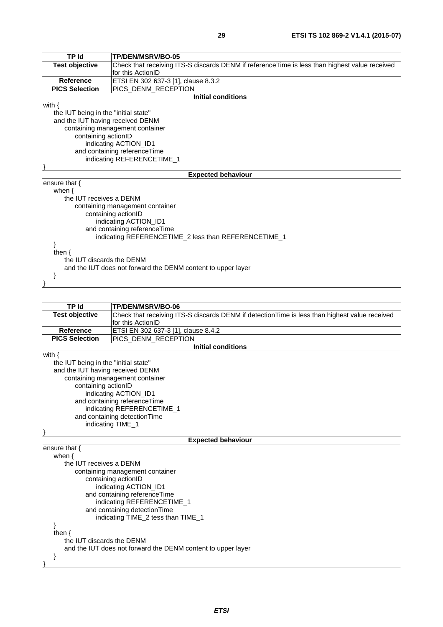| <b>TP Id</b>                         | TP/DEN/MSRV/BO-05                                                                             |  |
|--------------------------------------|-----------------------------------------------------------------------------------------------|--|
| <b>Test objective</b>                | Check that receiving ITS-S discards DENM if referenceTime is less than highest value received |  |
|                                      | for this ActionID                                                                             |  |
| Reference                            | ETSI EN 302 637-3 [1], clause 8.3.2                                                           |  |
| <b>PICS Selection</b>                | PICS_DENM_RECEPTION                                                                           |  |
|                                      | <b>Initial conditions</b>                                                                     |  |
| with $\{$                            |                                                                                               |  |
| the IUT being in the "initial state" |                                                                                               |  |
| and the IUT having received DENM     |                                                                                               |  |
|                                      | containing management container                                                               |  |
| containing actionID                  |                                                                                               |  |
|                                      | indicating ACTION_ID1                                                                         |  |
|                                      | and containing referenceTime                                                                  |  |
|                                      | indicating REFERENCETIME_1                                                                    |  |
|                                      |                                                                                               |  |
|                                      | <b>Expected behaviour</b>                                                                     |  |
| ensure that $\{$                     |                                                                                               |  |
| when $\{$                            |                                                                                               |  |
| the IUT receives a DENM              |                                                                                               |  |
|                                      | containing management container                                                               |  |
|                                      | containing actionID                                                                           |  |
| indicating ACTION_ID1                |                                                                                               |  |
| and containing referenceTime         |                                                                                               |  |
|                                      | indicating REFERENCETIME_2 less than REFERENCETIME_1                                          |  |
|                                      |                                                                                               |  |
| then $\{$                            |                                                                                               |  |
| the IUT discards the DENM            |                                                                                               |  |
|                                      | and the IUT does not forward the DENM content to upper layer                                  |  |
|                                      |                                                                                               |  |

| TP Id                              | TP/DEN/MSRV/BO-06                                                                              |  |
|------------------------------------|------------------------------------------------------------------------------------------------|--|
| <b>Test objective</b>              | Check that receiving ITS-S discards DENM if detection Time is less than highest value received |  |
|                                    | for this ActionID                                                                              |  |
| <b>Reference</b>                   | ETSI EN 302 637-3 [1], clause 8.4.2                                                            |  |
| <b>PICS Selection</b>              | PICS DENM RECEPTION                                                                            |  |
|                                    | <b>Initial conditions</b>                                                                      |  |
| with $\{$                          |                                                                                                |  |
|                                    | the IUT being in the "initial state"                                                           |  |
| and the IUT having received DENM   |                                                                                                |  |
|                                    | containing management container                                                                |  |
| containing actionID                |                                                                                                |  |
|                                    | indicating ACTION_ID1                                                                          |  |
|                                    | and containing referenceTime                                                                   |  |
|                                    | indicating REFERENCETIME_1                                                                     |  |
|                                    | and containing detection Time                                                                  |  |
|                                    | indicating TIME_1                                                                              |  |
|                                    | <b>Expected behaviour</b>                                                                      |  |
| ensure that {                      |                                                                                                |  |
| when $\{$                          |                                                                                                |  |
| the IUT receives a DENM            |                                                                                                |  |
| containing management container    |                                                                                                |  |
|                                    | containing actionID                                                                            |  |
|                                    | indicating ACTION_ID1                                                                          |  |
|                                    | and containing reference Time                                                                  |  |
| indicating REFERENCETIME_1         |                                                                                                |  |
| and containing detectionTime       |                                                                                                |  |
| indicating TIME_2 tess than TIME_1 |                                                                                                |  |
|                                    |                                                                                                |  |
| then $\{$                          |                                                                                                |  |
| the IUT discards the DENM          |                                                                                                |  |
|                                    | and the IUT does not forward the DENM content to upper layer                                   |  |
| ł                                  |                                                                                                |  |
|                                    |                                                                                                |  |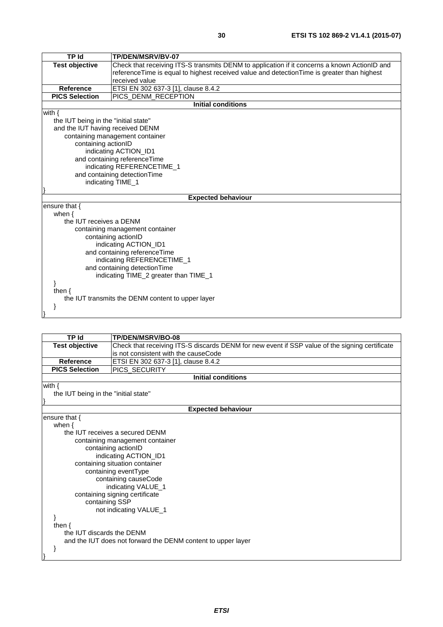| <b>TP Id</b>                          | TP/DEN/MSRV/BV-07                                                                            |  |
|---------------------------------------|----------------------------------------------------------------------------------------------|--|
| <b>Test objective</b>                 | Check that receiving ITS-S transmits DENM to application if it concerns a known ActionID and |  |
|                                       | referenceTime is equal to highest received value and detectionTime is greater than highest   |  |
|                                       | received value                                                                               |  |
| <b>Reference</b>                      | ETSI EN 302 637-3 [1], clause 8.4.2                                                          |  |
| <b>PICS Selection</b>                 | PICS_DENM_RECEPTION                                                                          |  |
|                                       | <b>Initial conditions</b>                                                                    |  |
| with $\{$                             |                                                                                              |  |
| the IUT being in the "initial state"  |                                                                                              |  |
| and the IUT having received DENM      |                                                                                              |  |
|                                       | containing management container                                                              |  |
| containing actionID                   |                                                                                              |  |
|                                       | indicating ACTION_ID1                                                                        |  |
|                                       | and containing referenceTime                                                                 |  |
|                                       | indicating REFERENCETIME_1                                                                   |  |
|                                       | and containing detection Time                                                                |  |
|                                       | indicating TIME_1                                                                            |  |
|                                       |                                                                                              |  |
|                                       | <b>Expected behaviour</b>                                                                    |  |
| ensure that $\{$                      |                                                                                              |  |
| when $\{$                             |                                                                                              |  |
| the IUT receives a DENM               |                                                                                              |  |
|                                       | containing management container                                                              |  |
|                                       | containing actionID                                                                          |  |
|                                       | indicating ACTION_ID1                                                                        |  |
|                                       | and containing referenceTime                                                                 |  |
|                                       | indicating REFERENCETIME_1                                                                   |  |
| and containing detection Time         |                                                                                              |  |
| indicating TIME_2 greater than TIME_1 |                                                                                              |  |
|                                       |                                                                                              |  |
| then $\{$                             |                                                                                              |  |
|                                       | the IUT transmits the DENM content to upper layer                                            |  |
| }                                     |                                                                                              |  |
|                                       |                                                                                              |  |

| TP Id                                | TP/DEN/MSRV/BO-08                                                                              |  |
|--------------------------------------|------------------------------------------------------------------------------------------------|--|
| <b>Test objective</b>                | Check that receiving ITS-S discards DENM for new event if SSP value of the signing certificate |  |
|                                      | is not consistent with the causeCode                                                           |  |
| <b>Reference</b>                     | ETSI EN 302 637-3 [1], clause 8.4.2                                                            |  |
| <b>PICS Selection</b>                | PICS_SECURITY                                                                                  |  |
|                                      | <b>Initial conditions</b>                                                                      |  |
| with $\{$                            |                                                                                                |  |
| the IUT being in the "initial state" |                                                                                                |  |
|                                      |                                                                                                |  |
|                                      | <b>Expected behaviour</b>                                                                      |  |
| ensure that $\{$                     |                                                                                                |  |
| when $\{$                            |                                                                                                |  |
|                                      | the IUT receives a secured DENM                                                                |  |
|                                      | containing management container                                                                |  |
|                                      | containing actionID                                                                            |  |
|                                      | indicating ACTION_ID1                                                                          |  |
|                                      | containing situation container                                                                 |  |
|                                      | containing eventType                                                                           |  |
|                                      | containing causeCode                                                                           |  |
|                                      | indicating VALUE_1                                                                             |  |
|                                      | containing signing certificate                                                                 |  |
| containing SSP                       |                                                                                                |  |
|                                      | not indicating VALUE_1                                                                         |  |
|                                      |                                                                                                |  |
| then $\{$                            |                                                                                                |  |
|                                      | the IUT discards the DENM                                                                      |  |
|                                      | and the IUT does not forward the DENM content to upper layer                                   |  |
|                                      |                                                                                                |  |
|                                      |                                                                                                |  |
|                                      |                                                                                                |  |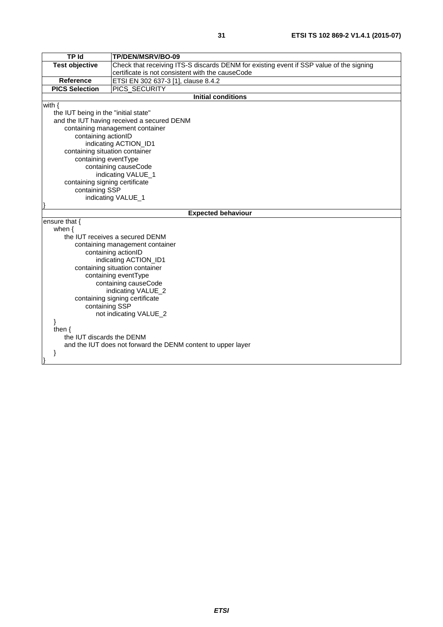| <b>TP Id</b>                   | TP/DEN/MSRV/BO-09                                                                       |  |
|--------------------------------|-----------------------------------------------------------------------------------------|--|
| <b>Test objective</b>          | Check that receiving ITS-S discards DENM for existing event if SSP value of the signing |  |
|                                | certificate is not consistent with the causeCode                                        |  |
| Reference                      | ETSI EN 302 637-3 [1], clause 8.4.2                                                     |  |
| <b>PICS Selection</b>          | PICS_SECURITY                                                                           |  |
|                                | <b>Initial conditions</b>                                                               |  |
| with $\{$                      |                                                                                         |  |
|                                | the IUT being in the "initial state"                                                    |  |
|                                | and the IUT having received a secured DENM                                              |  |
|                                | containing management container                                                         |  |
| containing actionID            |                                                                                         |  |
|                                | indicating ACTION_ID1                                                                   |  |
| containing situation container |                                                                                         |  |
| containing eventType           |                                                                                         |  |
|                                | containing causeCode                                                                    |  |
| indicating VALUE_1             |                                                                                         |  |
|                                | containing signing certificate                                                          |  |
|                                | containing SSP                                                                          |  |
|                                | indicating VALUE_1                                                                      |  |
|                                | <b>Expected behaviour</b>                                                               |  |
| ensure that {                  |                                                                                         |  |
| when $\{$                      |                                                                                         |  |
|                                | the IUT receives a secured DENM                                                         |  |
|                                | containing management container                                                         |  |
|                                | containing actionID                                                                     |  |
|                                | indicating ACTION_ID1                                                                   |  |
|                                | containing situation container                                                          |  |
|                                | containing eventType                                                                    |  |
|                                | containing causeCode                                                                    |  |
|                                | indicating VALUE_2                                                                      |  |
|                                | containing signing certificate                                                          |  |
|                                | containing SSP                                                                          |  |
|                                | not indicating VALUE_2                                                                  |  |
| }                              |                                                                                         |  |
| then $\{$                      |                                                                                         |  |
| the IUT discards the DENM      |                                                                                         |  |
|                                | and the IUT does not forward the DENM content to upper layer                            |  |
| }                              |                                                                                         |  |
|                                |                                                                                         |  |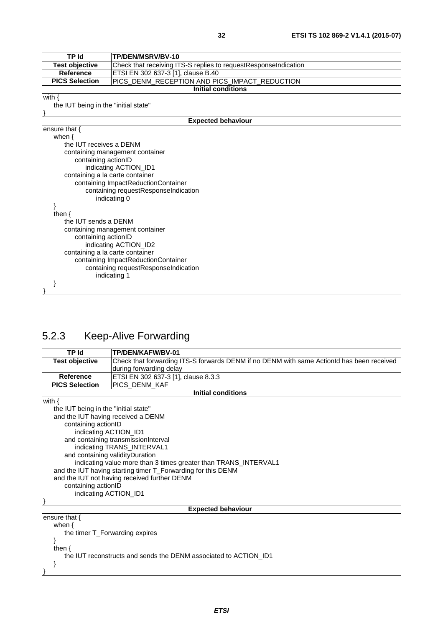<span id="page-31-0"></span>

| <b>TP Id</b>                                           | TP/DEN/MSRV/BV-10                                               |  |
|--------------------------------------------------------|-----------------------------------------------------------------|--|
| Test objective                                         | Check that receiving ITS-S replies to requestResponseIndication |  |
| <b>Reference</b>                                       | ETSI EN 302 637-3 [1], clause B.40                              |  |
| <b>PICS Selection</b>                                  | PICS_DENM_RECEPTION AND PICS_IMPACT_REDUCTION                   |  |
|                                                        | <b>Initial conditions</b>                                       |  |
| with $\{$                                              |                                                                 |  |
| the IUT being in the "initial state"                   |                                                                 |  |
|                                                        |                                                                 |  |
|                                                        | <b>Expected behaviour</b>                                       |  |
| ensure that {                                          |                                                                 |  |
| when $\{$                                              |                                                                 |  |
|                                                        | the IUT receives a DENM                                         |  |
|                                                        | containing management container                                 |  |
|                                                        | containing actionID                                             |  |
|                                                        | indicating ACTION_ID1                                           |  |
|                                                        | containing a la carte container                                 |  |
| containing ImpactReductionContainer                    |                                                                 |  |
|                                                        | containing requestResponseIndication<br>indicating 0            |  |
|                                                        |                                                                 |  |
| then $\{$                                              |                                                                 |  |
| the IUT sends a DENM                                   |                                                                 |  |
|                                                        |                                                                 |  |
| containing management container<br>containing actionID |                                                                 |  |
| indicating ACTION_ID2                                  |                                                                 |  |
| containing a la carte container                        |                                                                 |  |
| containing ImpactReductionContainer                    |                                                                 |  |
|                                                        | containing requestResponseIndication                            |  |
|                                                        | indicating 1                                                    |  |
|                                                        |                                                                 |  |
|                                                        |                                                                 |  |

# 5.2.3 Keep-Alive Forwarding

| TP Id                                                        | TP/DEN/KAFW/BV-01                                                                         |  |
|--------------------------------------------------------------|-------------------------------------------------------------------------------------------|--|
| <b>Test objective</b>                                        | Check that forwarding ITS-S forwards DENM if no DENM with same ActionId has been received |  |
|                                                              | during forwarding delay                                                                   |  |
| <b>Reference</b>                                             | ETSI EN 302 637-3 [1], clause 8.3.3                                                       |  |
| <b>PICS Selection</b>                                        | PICS_DENM_KAF                                                                             |  |
|                                                              | <b>Initial conditions</b>                                                                 |  |
| with $\{$                                                    |                                                                                           |  |
| the IUT being in the "initial state"                         |                                                                                           |  |
| and the IUT having received a DENM                           |                                                                                           |  |
|                                                              | containing actionID                                                                       |  |
| indicating ACTION_ID1                                        |                                                                                           |  |
|                                                              | and containing transmissionInterval                                                       |  |
|                                                              | indicating TRANS_INTERVAL1                                                                |  |
| and containing validity Duration                             |                                                                                           |  |
|                                                              | indicating value more than 3 times greater than TRANS_INTERVAL1                           |  |
| and the IUT having starting timer T_Forwarding for this DENM |                                                                                           |  |
|                                                              | and the IUT not having received further DENM                                              |  |
| containing actionID                                          |                                                                                           |  |
| indicating ACTION_ID1                                        |                                                                                           |  |
|                                                              |                                                                                           |  |
| <b>Expected behaviour</b>                                    |                                                                                           |  |
| ensure that $\{$                                             |                                                                                           |  |
| when $\{$                                                    |                                                                                           |  |
| the timer T_Forwarding expires                               |                                                                                           |  |
|                                                              |                                                                                           |  |
| then $\{$                                                    |                                                                                           |  |
|                                                              | the IUT reconstructs and sends the DENM associated to ACTION ID1                          |  |
| ł                                                            |                                                                                           |  |
|                                                              |                                                                                           |  |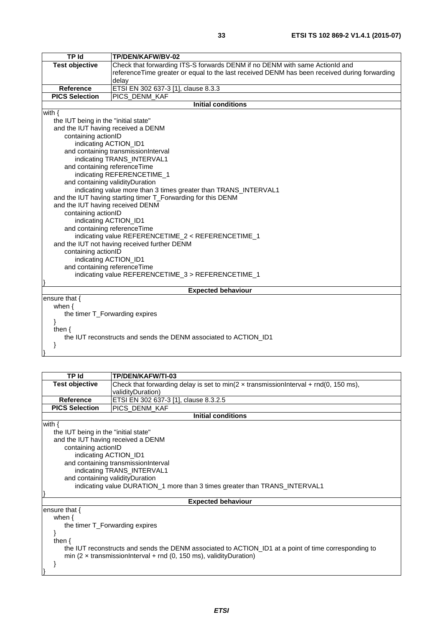| TP Id                                                            | TP/DEN/KAFW/BV-02                                                                            |  |
|------------------------------------------------------------------|----------------------------------------------------------------------------------------------|--|
| <b>Test objective</b>                                            | Check that forwarding ITS-S forwards DENM if no DENM with same ActionId and                  |  |
|                                                                  | referenceTime greater or equal to the last received DENM has been received during forwarding |  |
|                                                                  | delay                                                                                        |  |
| <b>Reference</b>                                                 | ETSI EN 302 637-3 [1], clause 8.3.3                                                          |  |
| <b>PICS Selection</b>                                            | PICS_DENM_KAF                                                                                |  |
|                                                                  | <b>Initial conditions</b>                                                                    |  |
| with $\{$                                                        |                                                                                              |  |
| the IUT being in the "initial state"                             |                                                                                              |  |
| and the IUT having received a DENM                               |                                                                                              |  |
| containing actionID                                              |                                                                                              |  |
| indicating ACTION_ID1                                            |                                                                                              |  |
|                                                                  | and containing transmissionInterval                                                          |  |
|                                                                  | indicating TRANS_INTERVAL1                                                                   |  |
| and containing referenceTime                                     |                                                                                              |  |
|                                                                  |                                                                                              |  |
|                                                                  | indicating REFERENCETIME_1<br>and containing validity Duration                               |  |
|                                                                  | indicating value more than 3 times greater than TRANS_INTERVAL1                              |  |
|                                                                  |                                                                                              |  |
| and the IUT having starting timer T_Forwarding for this DENM     |                                                                                              |  |
| and the IUT having received DENM                                 |                                                                                              |  |
| containing actionID                                              |                                                                                              |  |
| indicating ACTION_ID1                                            |                                                                                              |  |
|                                                                  | and containing referenceTime                                                                 |  |
|                                                                  | indicating value REFERENCETIME_2 < REFERENCETIME_1                                           |  |
|                                                                  | and the IUT not having received further DENM                                                 |  |
| containing actionID                                              |                                                                                              |  |
| indicating ACTION_ID1                                            |                                                                                              |  |
| and containing referenceTime                                     |                                                                                              |  |
|                                                                  | indicating value REFERENCETIME_3 > REFERENCETIME_1                                           |  |
|                                                                  |                                                                                              |  |
| <b>Expected behaviour</b>                                        |                                                                                              |  |
| ensure that $\{$                                                 |                                                                                              |  |
| when $\{$                                                        |                                                                                              |  |
|                                                                  | the timer T_Forwarding expires                                                               |  |
| ł                                                                |                                                                                              |  |
| then $\{$                                                        |                                                                                              |  |
| the IUT reconstructs and sends the DENM associated to ACTION ID1 |                                                                                              |  |
| }                                                                |                                                                                              |  |
|                                                                  |                                                                                              |  |

| TP Id                                | TP/DEN/KAFW/TI-03                                                                                    |  |  |
|--------------------------------------|------------------------------------------------------------------------------------------------------|--|--|
| <b>Test objective</b>                | Check that forwarding delay is set to min( $2 \times$ transmissionInterval + rnd(0, 150 ms),         |  |  |
|                                      | validityDuration)                                                                                    |  |  |
| <b>Reference</b>                     | ETSI EN 302 637-3 [1], clause 8.3.2.5                                                                |  |  |
| <b>PICS Selection</b>                | PICS DENM KAF                                                                                        |  |  |
|                                      | <b>Initial conditions</b>                                                                            |  |  |
| with $\{$                            |                                                                                                      |  |  |
| the IUT being in the "initial state" |                                                                                                      |  |  |
|                                      | and the IUT having received a DENM                                                                   |  |  |
|                                      | containing actionID                                                                                  |  |  |
| indicating ACTION_ID1                |                                                                                                      |  |  |
| and containing transmissionInterval  |                                                                                                      |  |  |
|                                      | indicating TRANS_INTERVAL1                                                                           |  |  |
|                                      | and containing validityDuration                                                                      |  |  |
|                                      | indicating value DURATION_1 more than 3 times greater than TRANS_INTERVAL1                           |  |  |
|                                      |                                                                                                      |  |  |
|                                      | <b>Expected behaviour</b>                                                                            |  |  |
| ensure that $\{$                     |                                                                                                      |  |  |
| when $\{$                            |                                                                                                      |  |  |
| the timer T_Forwarding expires       |                                                                                                      |  |  |
|                                      |                                                                                                      |  |  |
| then $\{$                            |                                                                                                      |  |  |
|                                      | the IUT reconstructs and sends the DENM associated to ACTION_ID1 at a point of time corresponding to |  |  |
|                                      | min (2 $\times$ transmission Interval + rnd (0, 150 ms), validity Duration)                          |  |  |
|                                      |                                                                                                      |  |  |
|                                      |                                                                                                      |  |  |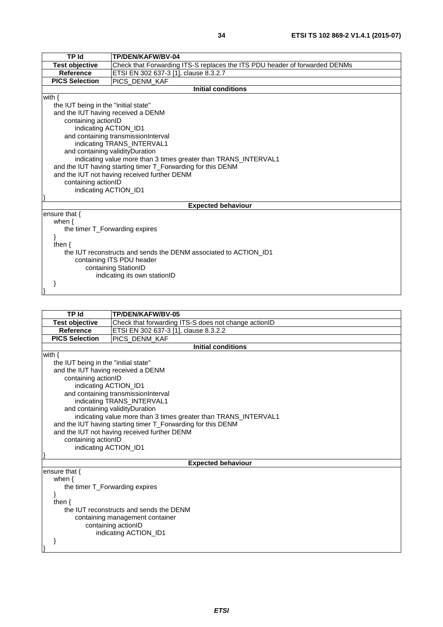| <b>TP Id</b>                                                     | TP/DEN/KAFW/BV-04                                                          |  |
|------------------------------------------------------------------|----------------------------------------------------------------------------|--|
| <b>Test objective</b>                                            | Check that Forwarding ITS-S replaces the ITS PDU header of forwarded DENMs |  |
| <b>Reference</b>                                                 | ETSI EN 302 637-3 [1], clause 8.3.2.7                                      |  |
| <b>PICS Selection</b>                                            | PICS DENM KAF                                                              |  |
|                                                                  | <b>Initial conditions</b>                                                  |  |
| with $\{$                                                        |                                                                            |  |
| the IUT being in the "initial state"                             |                                                                            |  |
|                                                                  | and the IUT having received a DENM                                         |  |
| containing actionID                                              |                                                                            |  |
| indicating ACTION_ID1                                            |                                                                            |  |
|                                                                  | and containing transmissionInterval                                        |  |
|                                                                  | indicating TRANS_INTERVAL1                                                 |  |
|                                                                  | and containing validityDuration                                            |  |
|                                                                  | indicating value more than 3 times greater than TRANS_INTERVAL1            |  |
| and the IUT having starting timer T_Forwarding for this DENM     |                                                                            |  |
| and the IUT not having received further DENM                     |                                                                            |  |
| containing actionID                                              |                                                                            |  |
| indicating ACTION_ID1                                            |                                                                            |  |
|                                                                  |                                                                            |  |
| <b>Expected behaviour</b>                                        |                                                                            |  |
| ensure that $\{$                                                 |                                                                            |  |
| when $\{$                                                        |                                                                            |  |
| the timer T_Forwarding expires                                   |                                                                            |  |
|                                                                  |                                                                            |  |
| then $\{$                                                        |                                                                            |  |
| the IUT reconstructs and sends the DENM associated to ACTION ID1 |                                                                            |  |
| containing ITS PDU header                                        |                                                                            |  |
|                                                                  | containing StationID                                                       |  |
| indicating its own stationID                                     |                                                                            |  |

 $\vert \hspace{.1cm} \rangle$ 

| <b>TP Id</b>                            | TP/DEN/KAFW/BV-05                                               |  |  |
|-----------------------------------------|-----------------------------------------------------------------|--|--|
| <b>Test objective</b>                   | Check that forwarding ITS-S does not change actionID            |  |  |
| <b>Reference</b>                        | ETSI EN 302 637-3 [1], clause 8.3.2.2                           |  |  |
| <b>PICS Selection</b>                   | PICS_DENM_KAF                                                   |  |  |
|                                         | <b>Initial conditions</b>                                       |  |  |
| with $\{$                               |                                                                 |  |  |
| the IUT being in the "initial state"    |                                                                 |  |  |
| and the IUT having received a DENM      |                                                                 |  |  |
|                                         | containing actionID                                             |  |  |
|                                         | indicating ACTION_ID1                                           |  |  |
|                                         | and containing transmissionInterval                             |  |  |
|                                         | indicating TRANS_INTERVAL1                                      |  |  |
|                                         | and containing validityDuration                                 |  |  |
|                                         | indicating value more than 3 times greater than TRANS_INTERVAL1 |  |  |
|                                         | and the IUT having starting timer T_Forwarding for this DENM    |  |  |
|                                         | and the IUT not having received further DENM                    |  |  |
| containing actionID                     |                                                                 |  |  |
| indicating ACTION_ID1                   |                                                                 |  |  |
|                                         |                                                                 |  |  |
|                                         | <b>Expected behaviour</b>                                       |  |  |
| ensure that $\{$                        |                                                                 |  |  |
| when $\{$                               |                                                                 |  |  |
|                                         | the timer T_Forwarding expires                                  |  |  |
|                                         |                                                                 |  |  |
| then $\{$                               |                                                                 |  |  |
| the IUT reconstructs and sends the DENM |                                                                 |  |  |
| containing management container         |                                                                 |  |  |
| containing actionID                     |                                                                 |  |  |
|                                         | indicating ACTION_ID1                                           |  |  |
|                                         |                                                                 |  |  |
|                                         |                                                                 |  |  |
|                                         |                                                                 |  |  |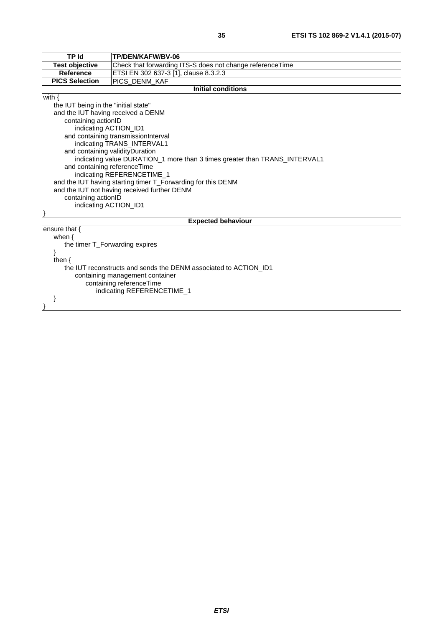| <b>TP Id</b>                                                     | TP/DEN/KAFW/BV-06                                                          |
|------------------------------------------------------------------|----------------------------------------------------------------------------|
| <b>Test objective</b>                                            | Check that forwarding ITS-S does not change referenceTime                  |
| <b>Reference</b>                                                 | ETSI EN 302 637-3 [1], clause 8.3.2.3                                      |
| <b>PICS Selection</b>                                            | PICS_DENM_KAF                                                              |
|                                                                  | <b>Initial conditions</b>                                                  |
| with $\{$                                                        |                                                                            |
| the IUT being in the "initial state"                             |                                                                            |
| and the IUT having received a DENM                               |                                                                            |
| containing actionID                                              |                                                                            |
| indicating ACTION_ID1                                            |                                                                            |
|                                                                  | and containing transmissionInterval                                        |
|                                                                  | indicating TRANS_INTERVAL1                                                 |
| and containing validityDuration                                  |                                                                            |
|                                                                  | indicating value DURATION_1 more than 3 times greater than TRANS_INTERVAL1 |
| and containing referenceTime                                     |                                                                            |
|                                                                  | indicating REFERENCETIME_1                                                 |
|                                                                  | and the IUT having starting timer T_Forwarding for this DENM               |
| and the IUT not having received further DENM                     |                                                                            |
| containing actionID                                              |                                                                            |
| indicating ACTION_ID1                                            |                                                                            |
|                                                                  | <b>Expected behaviour</b>                                                  |
| ensure that {                                                    |                                                                            |
| when $\{$                                                        |                                                                            |
| the timer T Forwarding expires                                   |                                                                            |
|                                                                  |                                                                            |
| then $\{$                                                        |                                                                            |
| the IUT reconstructs and sends the DENM associated to ACTION ID1 |                                                                            |
| containing management container                                  |                                                                            |
| containing referenceTime                                         |                                                                            |
| indicating REFERENCETIME_1                                       |                                                                            |
|                                                                  |                                                                            |
|                                                                  |                                                                            |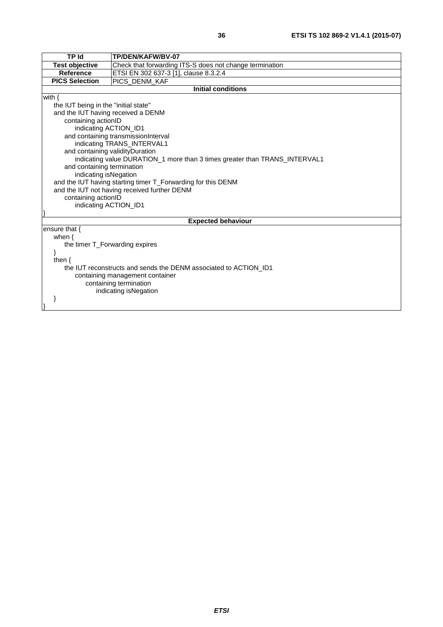| <b>TP Id</b>                                                     | TP/DEN/KAFW/BV-07                                                          |  |
|------------------------------------------------------------------|----------------------------------------------------------------------------|--|
| <b>Test objective</b>                                            | Check that forwarding ITS-S does not change termination                    |  |
| <b>Reference</b>                                                 | ETSI EN 302 637-3 [1], clause 8.3.2.4                                      |  |
| <b>PICS Selection</b>                                            | PICS_DENM_KAF                                                              |  |
|                                                                  | <b>Initial conditions</b>                                                  |  |
| with $\{$                                                        |                                                                            |  |
| the IUT being in the "initial state"                             |                                                                            |  |
| and the IUT having received a DENM                               |                                                                            |  |
| containing actionID                                              |                                                                            |  |
| indicating ACTION_ID1                                            |                                                                            |  |
|                                                                  | and containing transmissionInterval                                        |  |
|                                                                  | indicating TRANS_INTERVAL1                                                 |  |
| and containing validityDuration                                  |                                                                            |  |
|                                                                  | indicating value DURATION_1 more than 3 times greater than TRANS_INTERVAL1 |  |
| and containing termination                                       |                                                                            |  |
| indicating isNegation                                            |                                                                            |  |
|                                                                  | and the IUT having starting timer T_Forwarding for this DENM               |  |
| and the IUT not having received further DENM                     |                                                                            |  |
| containing actionID                                              |                                                                            |  |
| indicating ACTION_ID1                                            |                                                                            |  |
|                                                                  |                                                                            |  |
| <b>Expected behaviour</b>                                        |                                                                            |  |
| ensure that {                                                    |                                                                            |  |
| when $\{$                                                        |                                                                            |  |
| the timer T_Forwarding expires                                   |                                                                            |  |
|                                                                  |                                                                            |  |
| then $\{$                                                        |                                                                            |  |
| the IUT reconstructs and sends the DENM associated to ACTION ID1 |                                                                            |  |
| containing management container                                  |                                                                            |  |
| containing termination                                           |                                                                            |  |
|                                                                  | indicating isNegation                                                      |  |
|                                                                  |                                                                            |  |
|                                                                  |                                                                            |  |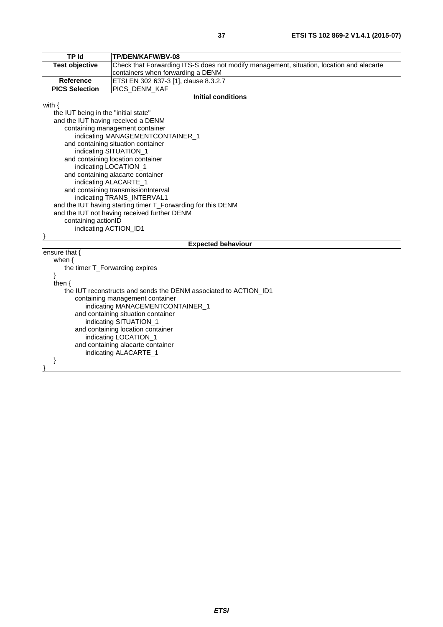| <b>TP Id</b>                                 | TP/DEN/KAFW/BV-08                                                                        |  |
|----------------------------------------------|------------------------------------------------------------------------------------------|--|
| <b>Test objective</b>                        | Check that Forwarding ITS-S does not modify management, situation, location and alacarte |  |
|                                              | containers when forwarding a DENM                                                        |  |
| Reference                                    | ETSI EN 302 637-3 [1], clause 8.3.2.7                                                    |  |
| <b>PICS Selection</b>                        | PICS_DENM_KAF                                                                            |  |
|                                              | <b>Initial conditions</b>                                                                |  |
| with $\{$                                    |                                                                                          |  |
| the IUT being in the "initial state"         |                                                                                          |  |
| and the IUT having received a DENM           |                                                                                          |  |
|                                              | containing management container                                                          |  |
|                                              | indicating MANAGEMENTCONTAINER_1                                                         |  |
|                                              | and containing situation container                                                       |  |
|                                              | indicating SITUATION_1                                                                   |  |
|                                              | and containing location container                                                        |  |
|                                              | indicating LOCATION_1                                                                    |  |
|                                              | and containing alacarte container                                                        |  |
| indicating ALACARTE_1                        |                                                                                          |  |
|                                              | and containing transmissionInterval                                                      |  |
|                                              | indicating TRANS_INTERVAL1                                                               |  |
|                                              | and the IUT having starting timer T_Forwarding for this DENM                             |  |
| and the IUT not having received further DENM |                                                                                          |  |
|                                              | containing actionID                                                                      |  |
| indicating ACTION_ID1                        |                                                                                          |  |
|                                              |                                                                                          |  |
| ensure that {                                | <b>Expected behaviour</b>                                                                |  |
|                                              |                                                                                          |  |
| when $\{$<br>the timer T_Forwarding expires  |                                                                                          |  |
| ł                                            |                                                                                          |  |
| then $\{$                                    |                                                                                          |  |
|                                              | the IUT reconstructs and sends the DENM associated to ACTION ID1                         |  |
| containing management container              |                                                                                          |  |
| indicating MANACEMENTCONTAINER_1             |                                                                                          |  |
| and containing situation container           |                                                                                          |  |
| indicating SITUATION_1                       |                                                                                          |  |
| and containing location container            |                                                                                          |  |
| indicating LOCATION_1                        |                                                                                          |  |
| and containing alacarte container            |                                                                                          |  |
|                                              | indicating ALACARTE_1                                                                    |  |
|                                              |                                                                                          |  |
|                                              |                                                                                          |  |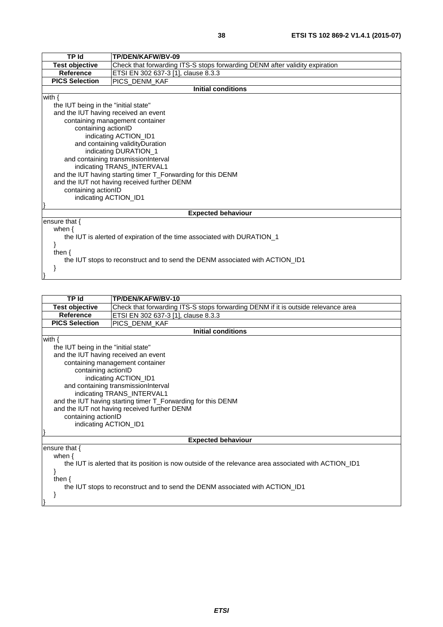| <b>TP Id</b>                                                                 | TP/DEN/KAFW/BV-09                                                           |  |  |  |
|------------------------------------------------------------------------------|-----------------------------------------------------------------------------|--|--|--|
| <b>Test objective</b>                                                        | Check that forwarding ITS-S stops forwarding DENM after validity expiration |  |  |  |
| <b>Reference</b><br>ETSI EN 302 637-3 [1], clause 8.3.3                      |                                                                             |  |  |  |
|                                                                              |                                                                             |  |  |  |
|                                                                              | <b>PICS Selection</b><br>PICS DENM KAF                                      |  |  |  |
| <b>Initial conditions</b>                                                    |                                                                             |  |  |  |
| with $\{$                                                                    |                                                                             |  |  |  |
| the IUT being in the "initial state"                                         |                                                                             |  |  |  |
| and the IUT having received an event                                         |                                                                             |  |  |  |
| containing management container                                              |                                                                             |  |  |  |
| containing actionID                                                          |                                                                             |  |  |  |
| indicating ACTION_ID1                                                        |                                                                             |  |  |  |
| and containing validity Duration                                             |                                                                             |  |  |  |
| indicating DURATION_1                                                        |                                                                             |  |  |  |
| and containing transmissionInterval                                          |                                                                             |  |  |  |
| indicating TRANS_INTERVAL1                                                   |                                                                             |  |  |  |
| and the IUT having starting timer T_Forwarding for this DENM                 |                                                                             |  |  |  |
|                                                                              | and the IUT not having received further DENM                                |  |  |  |
| containing actionID                                                          |                                                                             |  |  |  |
| indicating ACTION_ID1                                                        |                                                                             |  |  |  |
|                                                                              |                                                                             |  |  |  |
| <b>Expected behaviour</b>                                                    |                                                                             |  |  |  |
| ensure that $\{$                                                             |                                                                             |  |  |  |
| when $\{$                                                                    |                                                                             |  |  |  |
| the IUT is alerted of expiration of the time associated with DURATION_1      |                                                                             |  |  |  |
|                                                                              |                                                                             |  |  |  |
| then $\{$                                                                    |                                                                             |  |  |  |
|                                                                              |                                                                             |  |  |  |
| the IUT stops to reconstruct and to send the DENM associated with ACTION_ID1 |                                                                             |  |  |  |
|                                                                              |                                                                             |  |  |  |
|                                                                              |                                                                             |  |  |  |

| <b>TP Id</b>                                                                                         | TP/DEN/KAFW/BV-10                                                                 |  |  |  |
|------------------------------------------------------------------------------------------------------|-----------------------------------------------------------------------------------|--|--|--|
| Test objective                                                                                       | Check that forwarding ITS-S stops forwarding DENM if it is outside relevance area |  |  |  |
| <b>Reference</b>                                                                                     | ETSI EN 302 637-3 [1], clause 8.3.3                                               |  |  |  |
| <b>PICS Selection</b>                                                                                | PICS_DENM_KAF                                                                     |  |  |  |
| <b>Initial conditions</b>                                                                            |                                                                                   |  |  |  |
| with $\{$                                                                                            |                                                                                   |  |  |  |
| the IUT being in the "initial state"                                                                 |                                                                                   |  |  |  |
| and the IUT having received an event                                                                 |                                                                                   |  |  |  |
| containing management container                                                                      |                                                                                   |  |  |  |
| containing actionID                                                                                  |                                                                                   |  |  |  |
| indicating ACTION_ID1                                                                                |                                                                                   |  |  |  |
| and containing transmissionInterval                                                                  |                                                                                   |  |  |  |
|                                                                                                      | indicating TRANS_INTERVAL1                                                        |  |  |  |
| and the IUT having starting timer T_Forwarding for this DENM                                         |                                                                                   |  |  |  |
|                                                                                                      | and the IUT not having received further DENM                                      |  |  |  |
| containing actionID                                                                                  |                                                                                   |  |  |  |
| indicating ACTION_ID1                                                                                |                                                                                   |  |  |  |
|                                                                                                      |                                                                                   |  |  |  |
| <b>Expected behaviour</b>                                                                            |                                                                                   |  |  |  |
| ensure that $\{$                                                                                     |                                                                                   |  |  |  |
| when $\{$                                                                                            |                                                                                   |  |  |  |
| the IUT is alerted that its position is now outside of the relevance area associated with ACTION ID1 |                                                                                   |  |  |  |
|                                                                                                      |                                                                                   |  |  |  |
| then $\{$                                                                                            |                                                                                   |  |  |  |
| the IUT stops to reconstruct and to send the DENM associated with ACTION_ID1                         |                                                                                   |  |  |  |
|                                                                                                      |                                                                                   |  |  |  |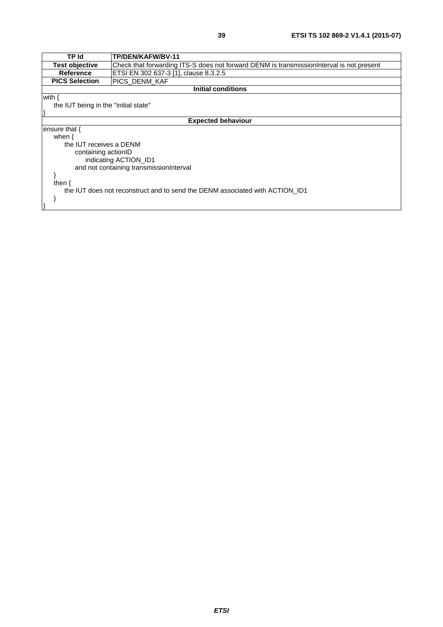| TP Id                                                                        | TP/DEN/KAFW/BV-11                                                                         |  |  |  |
|------------------------------------------------------------------------------|-------------------------------------------------------------------------------------------|--|--|--|
| <b>Test objective</b>                                                        | Check that forwarding ITS-S does not forward DENM is transmission Interval is not present |  |  |  |
| Reference                                                                    | ETSI EN 302 637-3 [1], clause 8.3.2.5                                                     |  |  |  |
| <b>PICS Selection</b>                                                        | <b>PICS DENM KAF</b>                                                                      |  |  |  |
| <b>Initial conditions</b>                                                    |                                                                                           |  |  |  |
| with {                                                                       |                                                                                           |  |  |  |
| the IUT being in the "initial state"                                         |                                                                                           |  |  |  |
|                                                                              |                                                                                           |  |  |  |
| <b>Expected behaviour</b>                                                    |                                                                                           |  |  |  |
| ensure that {                                                                |                                                                                           |  |  |  |
| when $\{$                                                                    |                                                                                           |  |  |  |
| the IUT receives a DENM                                                      |                                                                                           |  |  |  |
| containing actionID                                                          |                                                                                           |  |  |  |
| indicating ACTION ID1                                                        |                                                                                           |  |  |  |
| and not containing transmissionInterval                                      |                                                                                           |  |  |  |
|                                                                              |                                                                                           |  |  |  |
| then $\{$                                                                    |                                                                                           |  |  |  |
| the IUT does not reconstruct and to send the DENM associated with ACTION ID1 |                                                                                           |  |  |  |
|                                                                              |                                                                                           |  |  |  |
|                                                                              |                                                                                           |  |  |  |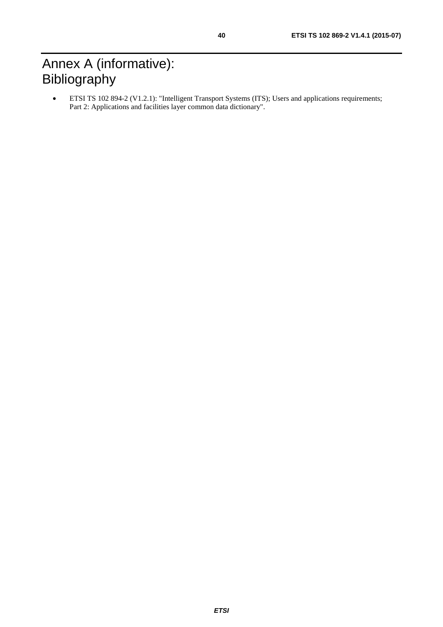# <span id="page-39-0"></span>Annex A (informative): Bibliography

• ETSI TS 102 894-2 (V1.2.1): "Intelligent Transport Systems (ITS); Users and applications requirements; Part 2: Applications and facilities layer common data dictionary".